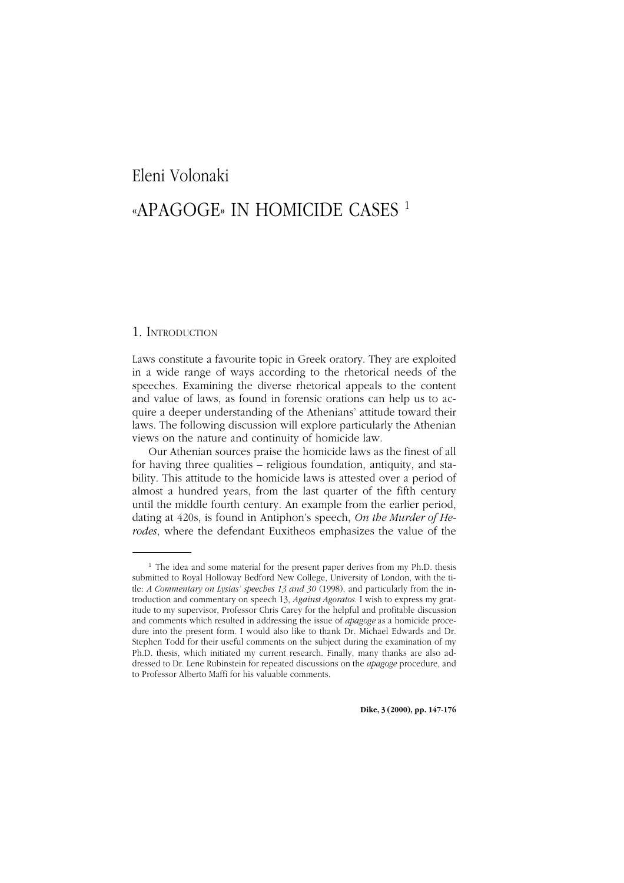### *«Apagoge» in Homicide Cases* <sup>147</sup> Eleni Volonaki

## [«APAGOGE» IN HOMICIDE CASES 1](http://www.ledonline.it/dike)

#### 1. INTRODUCTION

Laws constitute a favourite topic in Greek oratory. They are exploited in a wide range of ways according to the rhetorical needs of the speeches. Examining the diverse rhetorical appeals to the content and value of laws, as found in forensic orations can help us to acquire a deeper understanding of the Athenians' attitude toward their laws. The following discussion will explore particularly the Athenian views on the nature and continuity of homicide law.

Our Athenian sources praise the homicide laws as the finest of all for having three qualities – religious foundation, antiquity, and stability. This attitude to the homicide laws is attested over a period of almost a hundred years, from the last quarter of the fifth century until the middle fourth century. An example from the earlier period, dating at 420s, is found in Antiphon's speech, *On the Murder of Herodes*, where the defendant Euxitheos emphasizes the value of the

 $1$  The idea and some material for the present paper derives from my Ph.D. thesis submitted to Royal Holloway Bedford New College, University of London, with the title: *A Commentary on Lysias' speeches 13 and 30* (1998), and particularly from the introduction and commentary on speech 13, *Against Agoratos*. I wish to express my gratitude to my supervisor, Professor Chris Carey for the helpful and profitable discussion and comments which resulted in addressing the issue of *apagoge* as a homicide procedure into the present form. I would also like to thank Dr. Michael Edwards and Dr. Stephen Todd for their useful comments on the subject during the examination of my Ph.D. thesis, which initiated my current research. Finally, many thanks are also addressed to Dr. Lene Rubinstein for repeated discussions on the *apagoge* procedure, and to Professor Alberto Maffi for his valuable comments.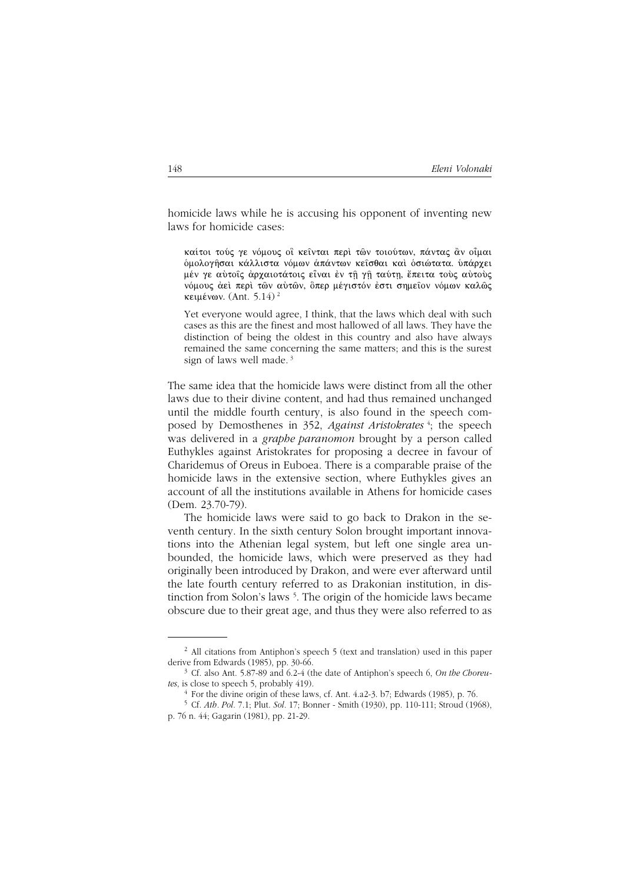homicide laws while he is accusing his opponent of inventing new laws for homicide cases:

καίτοι τούς γε νόμους οι κεινται περί των τοιούτων, πάντας άν οιμαι διιολογήσαι κάλλιστα νόμων άπάντων κείσθαι και δσιώτατα, υπάργει μέν γε αύτοις άρχαιοτάτοις είναι έν τη γη ταύτη, έπειτα τούς αύτους νόμους άει περί των αύτων, δπερ μέγιστόν έστι σημείον νόμων καλώς κειμένων. (Ant. 5.14)<sup>2</sup>

Yet everyone would agree. I think, that the laws which deal with such cases as this are the finest and most hallowed of all laws. They have the distinction of being the oldest in this country and also have always remained the same concerning the same matters; and this is the surest sign of laws well made.<sup>3</sup>

The same idea that the homicide laws were distinct from all the other laws due to their divine content, and had thus remained unchanged until the middle fourth century, is also found in the speech composed by Demosthenes in 352, Against Aristokrates<sup>4</sup>; the speech was delivered in a *graphe paranomon* brought by a person called Euthykles against Aristokrates for proposing a decree in favour of Charidemus of Oreus in Euboea. There is a comparable praise of the homicide laws in the extensive section, where Euthykles gives an account of all the institutions available in Athens for homicide cases  $(Dem. 23.70-79).$ 

The homicide laws were said to go back to Drakon in the seventh century. In the sixth century Solon brought important innovations into the Athenian legal system, but left one single area unbounded, the homicide laws, which were preserved as they had originally been introduced by Drakon, and were ever afterward until the late fourth century referred to as Drakonian institution, in distinction from Solon's laws<sup>5</sup>. The origin of the homicide laws became obscure due to their great age, and thus they were also referred to as

<sup>&</sup>lt;sup>2</sup> All citations from Antiphon's speech 5 (text and translation) used in this paper derive from Edwards (1985), pp. 30-66.

<sup>&</sup>lt;sup>3</sup> Cf. also Ant. 5.87-89 and 6.2-4 (the date of Antiphon's speech 6, On the Choreutes, is close to speech 5, probably 419).

 $4$  For the divine origin of these laws, cf. Ant. 4.a2-3. b7; Edwards (1985), p. 76.

<sup>&</sup>lt;sup>5</sup> Cf. *Ath. Pol.* 7.1; Plut. Sol. 17; Bonner - Smith (1930), pp. 110-111; Stroud (1968), p. 76 n. 44; Gagarin (1981), pp. 21-29.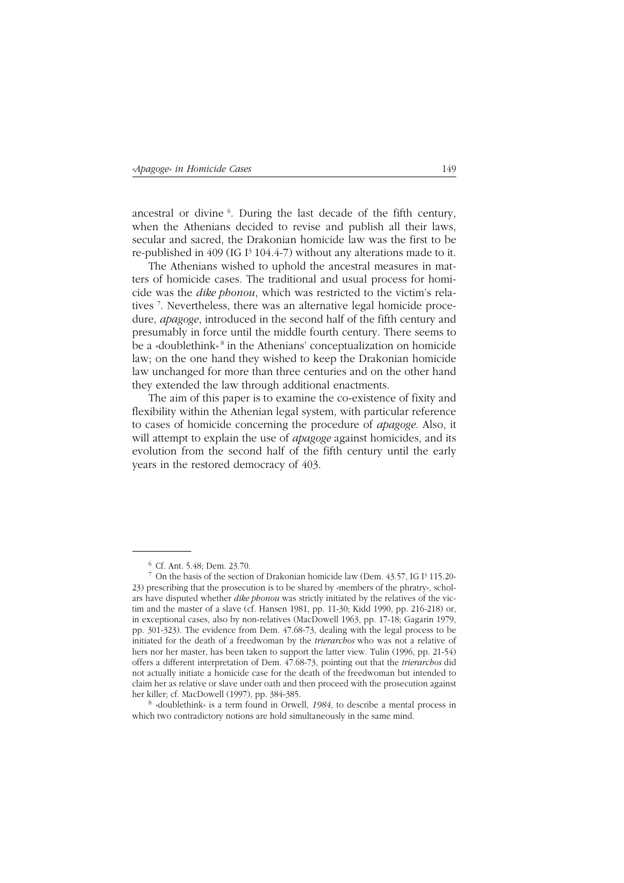ancestral or divine <sup>6</sup>. During the last decade of the fifth century, when the Athenians decided to revise and publish all their laws, secular and sacred, the Drakonian homicide law was the first to be re-published in 409 (IG  $I<sup>3</sup>$  104.4-7) without any alterations made to it.

The Athenians wished to uphold the ancestral measures in matters of homicide cases. The traditional and usual process for homicide was the *dike phonou*, which was restricted to the victim's relatives 7 . Nevertheless, there was an alternative legal homicide procedure, *apagoge*, introduced in the second half of the fifth century and presumably in force until the middle fourth century. There seems to be a «doublethink» 8 in the Athenians' conceptualization on homicide law; on the one hand they wished to keep the Drakonian homicide law unchanged for more than three centuries and on the other hand they extended the law through additional enactments.

The aim of this paper is to examine the co-existence of fixity and flexibility within the Athenian legal system, with particular reference to cases of homicide concerning the procedure of *apagoge*. Also, it will attempt to explain the use of *apagoge* against homicides, and its evolution from the second half of the fifth century until the early years in the restored democracy of 403.

<sup>8</sup> «doublethink» is a term found in Orwell, *1984*, to describe a mental process in which two contradictory notions are hold simultaneously in the same mind.

<sup>6</sup> Cf. Ant. 5.48; Dem. 23.70.

<sup>7</sup> On the basis of the section of Drakonian homicide law (Dem. 43.57, IG I³ 115.20- 23) prescribing that the prosecution is to be shared by «members of the phratry», scholars have disputed whether *dike phonou* was strictly initiated by the relatives of the victim and the master of a slave (cf. Hansen 1981, pp. 11-30; Kidd 1990, pp. 216-218) or, in exceptional cases, also by non-relatives (MacDowell 1963, pp. 17-18; Gagarin 1979, pp. 301-323). The evidence from Dem. 47.68-73, dealing with the legal process to be initiated for the death of a freedwoman by the *trierarchos* who was not a relative of hers nor her master, has been taken to support the latter view. Tulin (1996, pp. 21-54) offers a different interpretation of Dem. 47.68-73, pointing out that the *trierarchos* did not actually initiate a homicide case for the death of the freedwoman but intended to claim her as relative or slave under oath and then proceed with the prosecution against her killer; cf. MacDowell (1997), pp. 384-385.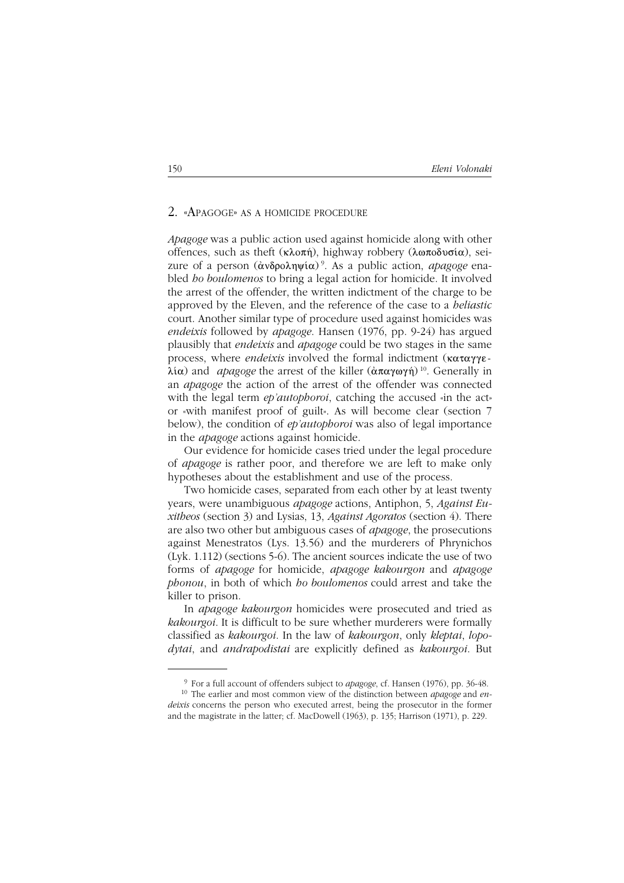#### 2. «APAGOGE» AS <sup>A</sup> HOMICIDE PROCEDURE

*Apagoge* was a public action used against homicide along with other offences, such as theft ( $\kappa \lambda$ o $\pi \hat{n}$ ), highway robbery ( $\lambda \omega \pi \delta \omega \sigma \hat{i} \alpha$ ), seizure of a person  $(\alpha \delta \rho \delta \rho \lambda \eta \psi(\alpha))$ <sup>9</sup>. As a public action, *apagoge* enabled *ho boulomenos* to bring a legal action for homicide. It involved the arrest of the offender, the written indictment of the charge to be approved by the Eleven, and the reference of the case to a *heliastic* court. Another similar type of procedure used against homicides was *endeixis* followed by *apagoge*. Hansen (1976, pp. 9-24) has argued plausibly that *endeixis* and *apagoge* could be two stages in the same process, where *endeixis* involved the formal indictment (καταγγε- $\lambda(\alpha)$  and *apagoge* the arrest of the killer ( $\alpha \pi \alpha \gamma \omega \gamma \eta$ )<sup>10</sup>. Generally in an *apagoge* the action of the arrest of the offender was connected with the legal term *ep'autophoroi*, catching the accused «in the act» or «with manifest proof of guilt». As will become clear (section 7 below), the condition of *ep'autophoroi* was also of legal importance in the *apagoge* actions against homicide.

Our evidence for homicide cases tried under the legal procedure of *apagoge* is rather poor, and therefore we are left to make only hypotheses about the establishment and use of the process.

Two homicide cases, separated from each other by at least twenty years, were unambiguous *apagoge* actions, Antiphon, 5, *Against Euxitheos* (section 3) and Lysias, 13, *Against Agoratos* (section 4). There are also two other but ambiguous cases of *apagoge*, the prosecutions against Menestratos (Lys. 13.56) and the murderers of Phrynichos (Lyk. 1.112) (sections 5-6). The ancient sources indicate the use of two forms of *apagoge* for homicide, *apagoge kakourgon* and *apagoge phonou*, in both of which *ho boulomenos* could arrest and take the killer to prison.

In *apagoge kakourgon* homicides were prosecuted and tried as *kakourgoi*. It is difficult to be sure whether murderers were formally classified as *kakourgoi*. In the law of *kakourgon*, only *kleptai*, *lopodytai*, and *andrapodistai* are explicitly defined as *kakourgoi*. But

<sup>9</sup> For a full account of offenders subject to *apagoge*, cf. Hansen (1976), pp. 36-48.

<sup>10</sup> The earlier and most common view of the distinction between *apagoge* and *endeixis* concerns the person who executed arrest, being the prosecutor in the former and the magistrate in the latter; cf. MacDowell (1963), p. 135; Harrison (1971), p. 229.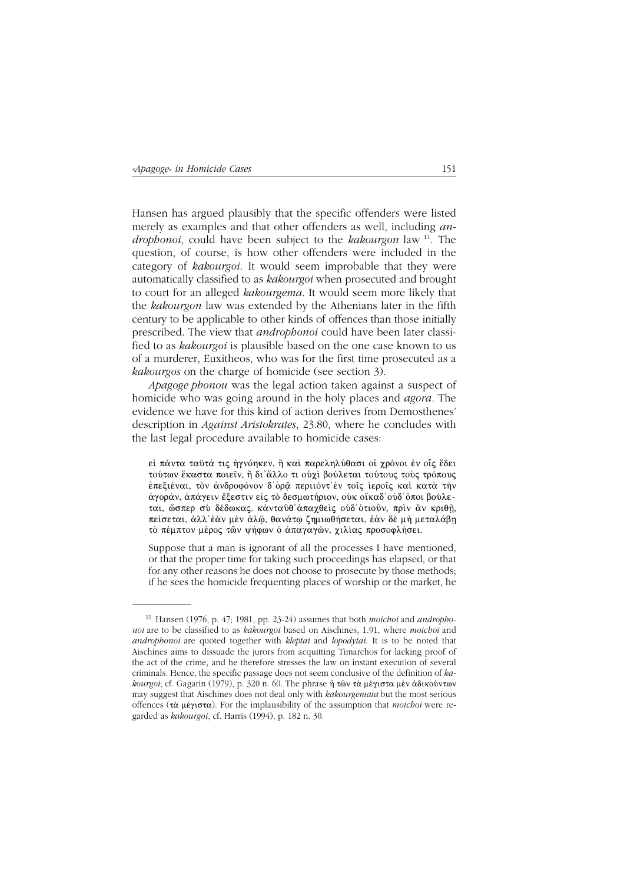Hansen has argued plausibly that the specific offenders were listed merely as examples and that other offenders as well, including an*drophonoi*, could have been subject to the *kakourgon* law <sup>11</sup>. The question, of course, is how other offenders were included in the category of kakourgoi. It would seem improbable that they were automatically classified to as kakourgoi when prosecuted and brought to court for an alleged kakourgema. It would seem more likely that the kakourgon law was extended by the Athenians later in the fifth century to be applicable to other kinds of offences than those initially prescribed. The view that *androphonoi* could have been later classified to as *kakourgoi* is plausible based on the one case known to us of a murderer, Euxitheos, who was for the first time prosecuted as a *kakourgos* on the charge of homicide (see section 3).

*Apagoge phonou* was the legal action taken against a suspect of homicide who was going around in the holy places and *agora*. The evidence we have for this kind of action derives from Demosthenes' description in *Against Aristokrates*, 23.80, where he concludes with the last legal procedure available to homicide cases:

εί πάντα ταῦτά τις ἠγνόηκεν, ἢ καὶ παρεληλύθασι οἱ γρόνοι ἐν οἶς ἔδει τούτων ἕκαστα ποιείν, ἢ δι'ἄλλο τι οὐχὶ βούλεται τούτους τοὺς τρόπους έπεξιέναι, τον άνδροφόνον δ'όρα περιιόντ' εν τοίς ίεροίς και κατά την άγοράν, ἀπάγειν ἔξεστιν εἰς τὸ δεσμωτήριον, οὐκ οἴκαδ'οὐδ'ὅποι βούλεται, ώσπερ σύ δέδωκας. κάνταυθ'άπαχθείς ούδ' ότιουν, πρίν ἂν κριθή, πείσεται, άλλ' έαν μεν άλω, θανάτω ζημιωθήσεται, έαν δε μή μεταλάβη τό πέμπτον μέρος των ψήφων ο άπαγαγών, χιλίας προσοφλήσει.

Suppose that a man is ignorant of all the processes I have mentioned, or that the proper time for taking such proceedings has elapsed, or that for any other reasons he does not choose to prosecute by those methods; if he sees the homicide frequenting places of worship or the market, he

<sup>&</sup>lt;sup>11</sup> Hansen (1976, p. 47; 1981, pp. 23-24) assumes that both *moichoi* and *andropho*noi are to be classified to as kakourgoi based on Aischines, 1.91, where moichoi and *androphonoi* are quoted together with *kleptai* and *lopodytai*. It is to be noted that Aischines aims to dissuade the jurors from acquitting Timarchos for lacking proof of the act of the crime, and he therefore stresses the law on instant execution of several criminals. Hence, the specific passage does not seem conclusive of the definition of kakourgoi; cf. Gagarin (1979), p. 320 n. 60. The phrase ή των τα μέγιστα μεν άδικούντων may suggest that Aischines does not deal only with kakourgemata but the most serious offences (τὰ μέγιστα). For the implausibility of the assumption that *moichoi* were regarded as kakourgoi, cf. Harris (1994), p. 182 n. 30.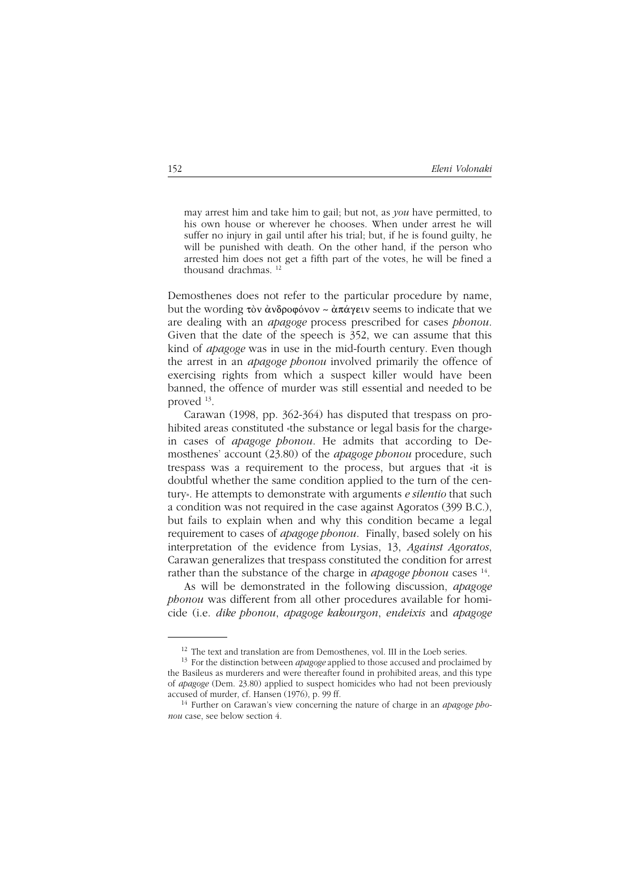may arrest him and take him to gail; but not, as *you* have permitted, to his own house or wherever he chooses. When under arrest he will suffer no injury in gail until after his trial; but, if he is found guilty, he will be punished with death. On the other hand, if the person who arrested him does not get a fifth part of the votes, he will be fined a thousand drachmas. 12

Demosthenes does not refer to the particular procedure by name, but the wording  $\tau$ òv ἀνδροφόνον ~ ἀπάγειν seems to indicate that we are dealing with an *apagoge* process prescribed for cases *phonou*. Given that the date of the speech is 352, we can assume that this kind of *apagoge* was in use in the mid-fourth century. Even though the arrest in an *apagoge phonou* involved primarily the offence of exercising rights from which a suspect killer would have been banned, the offence of murder was still essential and needed to be proved 13.

Carawan (1998, pp. 362-364) has disputed that trespass on prohibited areas constituted «the substance or legal basis for the charge» in cases of *apagoge phonou*. He admits that according to Demosthenes' account (23.80) of the *apagoge phonou* procedure, such trespass was a requirement to the process, but argues that «it is doubtful whether the same condition applied to the turn of the century». He attempts to demonstrate with arguments *e silentio* that such a condition was not required in the case against Agoratos (399 B.C.), but fails to explain when and why this condition became a legal requirement to cases of *apagoge phonou*. Finally, based solely on his interpretation of the evidence from Lysias, 13, *Against Agoratos*, Carawan generalizes that trespass constituted the condition for arrest rather than the substance of the charge in *apagoge phonou* cases <sup>14</sup>.

As will be demonstrated in the following discussion, *apagoge phonou* was different from all other procedures available for homicide (i.e. *dike phonou*, *apagoge kakourgon*, *endeixis* and *apagoge*

 $12$  The text and translation are from Demosthenes, vol. III in the Loeb series.

<sup>13</sup> For the distinction between *apagoge* applied to those accused and proclaimed by the Basileus as murderers and were thereafter found in prohibited areas, and this type of *apagoge* (Dem. 23.80) applied to suspect homicides who had not been previously accused of murder, cf. Hansen (1976), p. 99 ff.

<sup>14</sup> Further on Carawan's view concerning the nature of charge in an *apagoge phonou* case, see below section 4.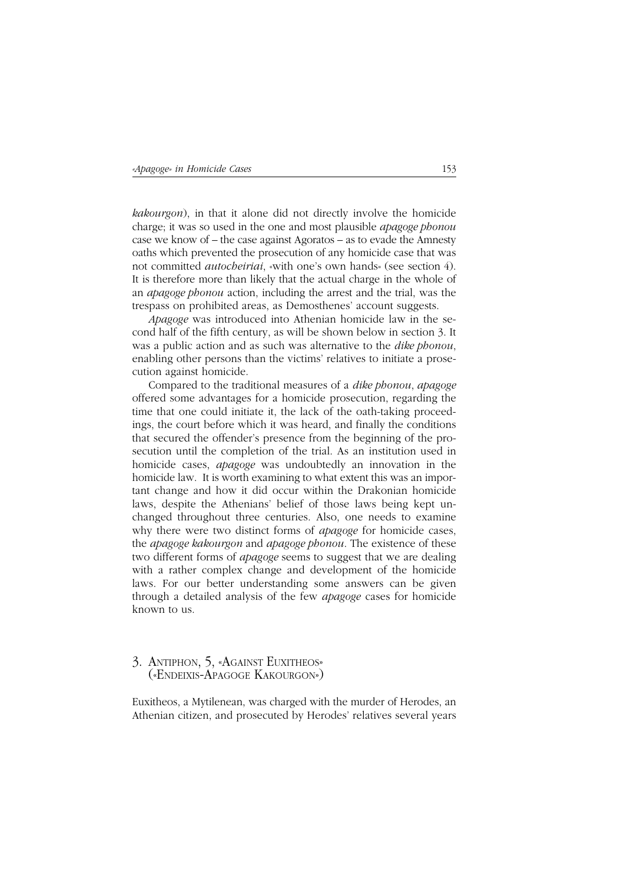*kakourgon*), in that it alone did not directly involve the homicide charge; it was so used in the one and most plausible *apagoge phonou* case we know of – the case against Agoratos – as to evade the Amnesty oaths which prevented the prosecution of any homicide case that was not committed *autocheiriai*, «with one's own hands» (see section 4). It is therefore more than likely that the actual charge in the whole of an *apagoge phonou* action, including the arrest and the trial, was the trespass on prohibited areas, as Demosthenes' account suggests.

*Apagoge* was introduced into Athenian homicide law in the second half of the fifth century, as will be shown below in section 3. It was a public action and as such was alternative to the *dike phonou*, enabling other persons than the victims' relatives to initiate a prosecution against homicide.

Compared to the traditional measures of a *dike phonou*, *apagoge* offered some advantages for a homicide prosecution, regarding the time that one could initiate it, the lack of the oath-taking proceedings, the court before which it was heard, and finally the conditions that secured the offender's presence from the beginning of the prosecution until the completion of the trial. As an institution used in homicide cases, *apagoge* was undoubtedly an innovation in the homicide law. It is worth examining to what extent this was an important change and how it did occur within the Drakonian homicide laws, despite the Athenians' belief of those laws being kept unchanged throughout three centuries. Also, one needs to examine why there were two distinct forms of *apagoge* for homicide cases, the *apagoge kakourgon* and *apagoge phonou*. The existence of these two different forms of *apagoge* seems to suggest that we are dealing with a rather complex change and development of the homicide laws. For our better understanding some answers can be given through a detailed analysis of the few *apagoge* cases for homicide known to us.

# 3. ANTIPHON, 5, «AGAINST EUXITHEOS» («ENDEIXIS-APAGOGE KAKOURGON»)

Euxitheos, a Mytilenean, was charged with the murder of Herodes, an Athenian citizen, and prosecuted by Herodes' relatives several years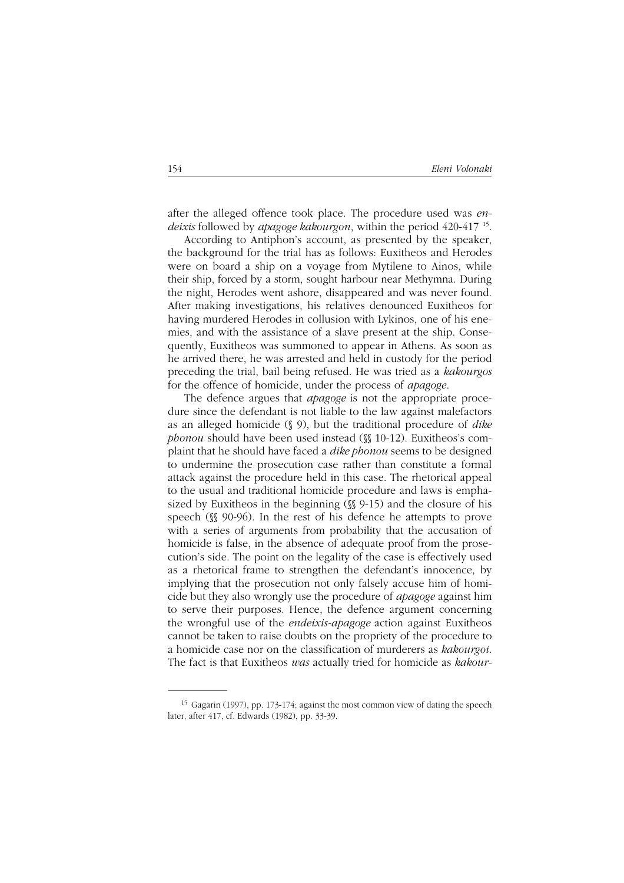after the alleged offence took place. The procedure used was *endeixis* followed by *apagoge kakourgon*, within the period 420-417 15.

According to Antiphon's account, as presented by the speaker, the background for the trial has as follows: Euxitheos and Herodes were on board a ship on a voyage from Mytilene to Ainos, while their ship, forced by a storm, sought harbour near Methymna. During the night, Herodes went ashore, disappeared and was never found. After making investigations, his relatives denounced Euxitheos for having murdered Herodes in collusion with Lykinos, one of his enemies, and with the assistance of a slave present at the ship. Consequently, Euxitheos was summoned to appear in Athens. As soon as he arrived there, he was arrested and held in custody for the period preceding the trial, bail being refused. He was tried as a *kakourgos* for the offence of homicide, under the process of *apagoge*.

The defence argues that *apagoge* is not the appropriate procedure since the defendant is not liable to the law against malefactors as an alleged homicide (§ 9), but the traditional procedure of *dike phonou* should have been used instead (§§ 10-12). Euxitheos's complaint that he should have faced a *dike phonou* seems to be designed to undermine the prosecution case rather than constitute a formal attack against the procedure held in this case. The rhetorical appeal to the usual and traditional homicide procedure and laws is emphasized by Euxitheos in the beginning  $(\mathcal{N} 9-15)$  and the closure of his speech ( $$90-96$ ). In the rest of his defence he attempts to prove with a series of arguments from probability that the accusation of homicide is false, in the absence of adequate proof from the prosecution's side. The point on the legality of the case is effectively used as a rhetorical frame to strengthen the defendant's innocence, by implying that the prosecution not only falsely accuse him of homicide but they also wrongly use the procedure of *apagoge* against him to serve their purposes. Hence, the defence argument concerning the wrongful use of the *endeixis-apagoge* action against Euxitheos cannot be taken to raise doubts on the propriety of the procedure to a homicide case nor on the classification of murderers as *kakourgoi*. The fact is that Euxitheos *was* actually tried for homicide as *kakour-*

<sup>15</sup> Gagarin (1997), pp. 173-174; against the most common view of dating the speech later, after 417, cf. Edwards (1982), pp. 33-39.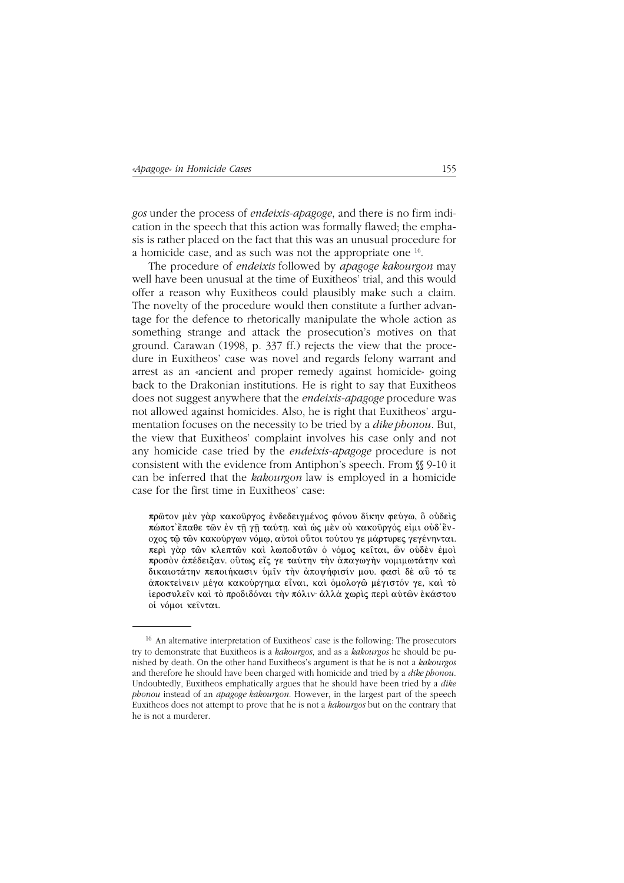gos under the process of *endeixis-apagoge*, and there is no firm indication in the speech that this action was formally flawed; the emphasis is rather placed on the fact that this was an unusual procedure for a homicide case, and as such was not the appropriate one  $^{16}$ .

The procedure of *endeixis* followed by *apagoge kakourgon* may well have been unusual at the time of Euxitheos' trial, and this would offer a reason why Euxitheos could plausibly make such a claim. The novelty of the procedure would then constitute a further advantage for the defence to rhetorically manipulate the whole action as something strange and attack the prosecution's motives on that ground. Carawan (1998, p. 337 ff.) rejects the view that the procedure in Euxitheos' case was novel and regards felony warrant and arrest as an «ancient and proper remedy against homicide» going back to the Drakonian institutions. He is right to say that Euxitheos does not suggest anywhere that the *endeixis-apagoge* procedure was not allowed against homicides. Also, he is right that Euxitheos' argumentation focuses on the necessity to be tried by a *dike phonou*. But, the view that Euxitheos' complaint involves his case only and not any homicide case tried by the *endeixis-apagoge* procedure is not consistent with the evidence from Antiphon's speech. From  $\mathcal N$  9-10 it can be inferred that the kakourgon law is employed in a homicide case for the first time in Euxitheos' case:

πρώτον μεν γάρ κακούργος ένδεδειγμένος φόνου δίκην φεύγω, ὃ οὐδεὶς πώποτ' έπαθε τῶν ἐν τῆ γῆ ταύτῃ. καὶ ὡς μὲν οὐ κακοῦργός εἰμι οὐδ'ἒνοχος τώ τών κακούργων νόμω, αύτοί ούτοι τούτου γε μάρτυρες γεγένηνται. περί γάρ των κλεπτών και λωποδυτών ο νόμος κείται, ών ούδεν έμοι προσόν άπέδειξαν, ούτως είς γε ταύτην την άπαγωγήν νομιμωτάτην και δικαιοτάτην πεποιήκασιν ύμιν την αποψήφισίν μου. φασί δέ αΰ τό τε άποκτείνειν μέγα κακούργημα εἶναι, καὶ ὁμολογῶ μέγιστόν γε, καὶ τὸ ίεροσυλείν και το προδιδόναι την πόλιν· άλλα χωρις περι αυτών εκάστου οί νόμοι κείνται.

<sup>&</sup>lt;sup>16</sup> An alternative interpretation of Euxitheos' case is the following: The prosecutors try to demonstrate that Euxitheos is a kakourgos, and as a kakourgos he should be punished by death. On the other hand Euxitheos's argument is that he is not a kakourgos and therefore he should have been charged with homicide and tried by a *dike phonou*. Undoubtedly, Euxitheos emphatically argues that he should have been tried by a dike phonou instead of an apagoge kakourgon. However, in the largest part of the speech Euxitheos does not attempt to prove that he is not a kakourgos but on the contrary that he is not a murderer.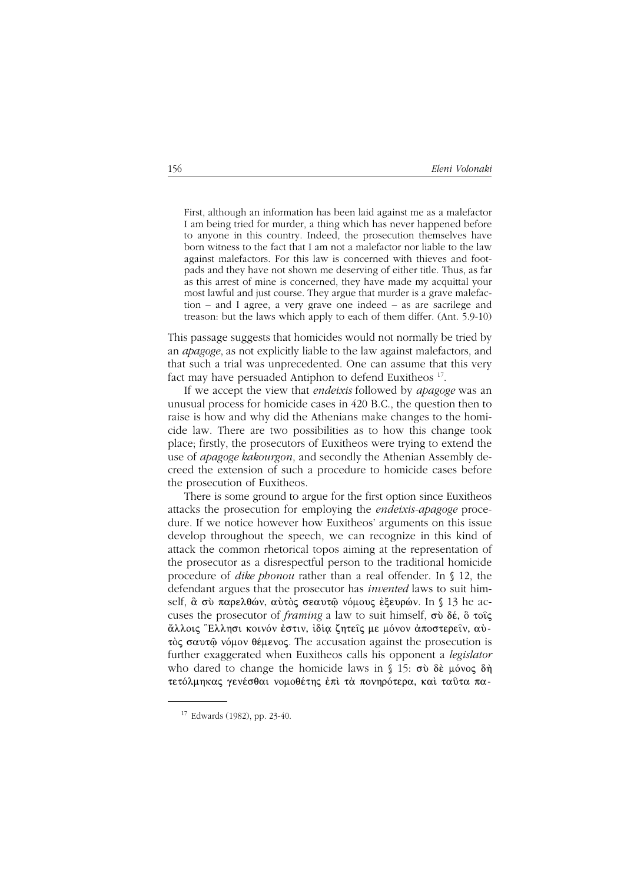First, although an information has been laid against me as a malefactor I am being tried for murder, a thing which has never happened before to anyone in this country. Indeed, the prosecution themselves have born witness to the fact that I am not a malefactor nor liable to the law against malefactors. For this law is concerned with thieves and footpads and they have not shown me deserving of either title. Thus, as far as this arrest of mine is concerned, they have made my acquittal your most lawful and just course. They argue that murder is a grave malefaction – and I agree, a very grave one indeed – as are sacrilege and treason: but the laws which apply to each of them differ. (Ant. 5.9-10)

This passage suggests that homicides would not normally be tried by an *apagoge*, as not explicitly liable to the law against malefactors, and that such a trial was unprecedented. One can assume that this very fact may have persuaded Antiphon to defend Euxitheos<sup>17</sup>.

If we accept the view that *endeixis* followed by *apagoge* was an unusual process for homicide cases in 420 B.C., the question then to raise is how and why did the Athenians make changes to the homicide law. There are two possibilities as to how this change took place; firstly, the prosecutors of Euxitheos were trying to extend the use of *apagoge kakourgon*, and secondly the Athenian Assembly decreed the extension of such a procedure to homicide cases before the prosecution of Euxitheos.

There is some ground to argue for the first option since Euxitheos attacks the prosecution for employing the *endeixis-apagoge* procedure. If we notice however how Euxitheos' arguments on this issue develop throughout the speech, we can recognize in this kind of attack the common rhetorical topos aiming at the representation of the prosecutor as a disrespectful person to the traditional homicide procedure of *dike phonou* rather than a real offender. In § 12, the defendant argues that the prosecutor has *invented* laws to suit himself,  $\alpha$  σύ παρελθών, αὐτὸς σεαυτῷ νόμους ἐξευρών. In § 13 he accuses the prosecutor of *framing* a law to suit himself,  $\sigma\dot{\nu}$  do  $\delta\dot{\epsilon}$ ,  $\ddot{\delta}$   $\tau$ oi $\zeta$ άλλοις Έλλησι κοινόν έστιν, ίδία ζητείς με μόνον άποστερείν, αύτός σαυτώ νόμον θέμενος. The accusation against the prosecution is further exaggerated when Euxitheos calls his opponent a *legislator* who dared to change the homicide laws in  $\S$  15:  $\sigma\dot{\nu}$  de  $\mu\dot{\nu}$ τετόλμηκας γενέσθαι νομοθέτης έπι τα πονηρότερα, και ταύτα πα-

<sup>17</sup> Edwards (1982), pp. 23-40.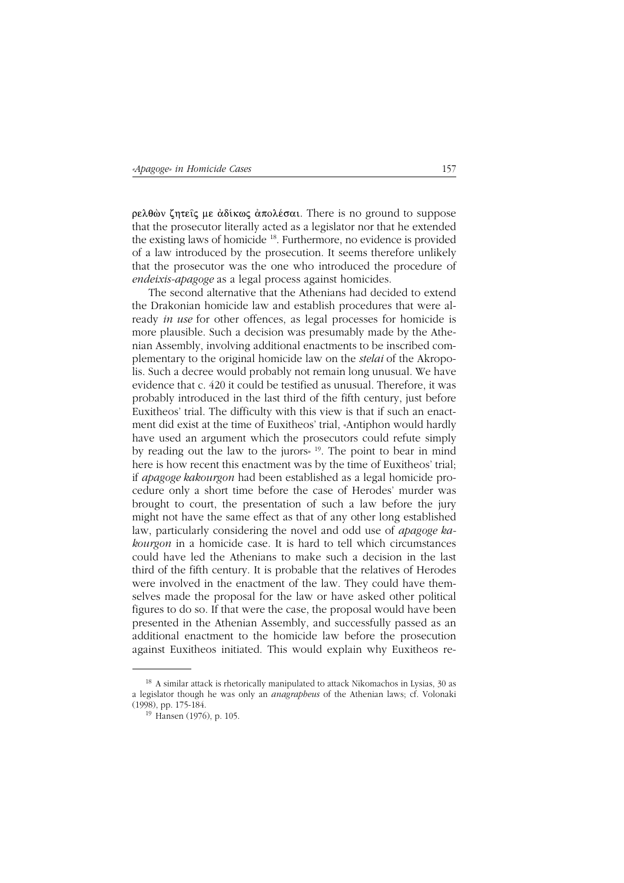$\rho$ ελθών ζητείς με άδίκως άπολέσαι. There is no ground to suppose that the prosecutor literally acted as a legislator nor that he extended the existing laws of homicide 18. Furthermore, no evidence is provided of a law introduced by the prosecution. It seems therefore unlikely that the prosecutor was the one who introduced the procedure of *endeixis-apagoge* as a legal process against homicides.

The second alternative that the Athenians had decided to extend the Drakonian homicide law and establish procedures that were already *in use* for other offences, as legal processes for homicide is more plausible. Such a decision was presumably made by the Athenian Assembly, involving additional enactments to be inscribed complementary to the original homicide law on the *stelai* of the Akropolis. Such a decree would probably not remain long unusual. We have evidence that c. 420 it could be testified as unusual. Therefore, it was probably introduced in the last third of the fifth century, just before Euxitheos' trial. The difficulty with this view is that if such an enactment did exist at the time of Euxitheos' trial, «Antiphon would hardly have used an argument which the prosecutors could refute simply by reading out the law to the jurors» 19. The point to bear in mind here is how recent this enactment was by the time of Euxitheos' trial; if *apagoge kakourgon* had been established as a legal homicide procedure only a short time before the case of Herodes' murder was brought to court, the presentation of such a law before the jury might not have the same effect as that of any other long established law, particularly considering the novel and odd use of *apagoge kakourgon* in a homicide case. It is hard to tell which circumstances could have led the Athenians to make such a decision in the last third of the fifth century. It is probable that the relatives of Herodes were involved in the enactment of the law. They could have themselves made the proposal for the law or have asked other political figures to do so. If that were the case, the proposal would have been presented in the Athenian Assembly, and successfully passed as an additional enactment to the homicide law before the prosecution against Euxitheos initiated. This would explain why Euxitheos re-

<sup>&</sup>lt;sup>18</sup> A similar attack is rhetorically manipulated to attack Nikomachos in Lysias, 30 as a legislator though he was only an *anagrapheus* of the Athenian laws; cf. Volonaki (1998), pp. 175-184.

<sup>19</sup> Hansen (1976), p. 105.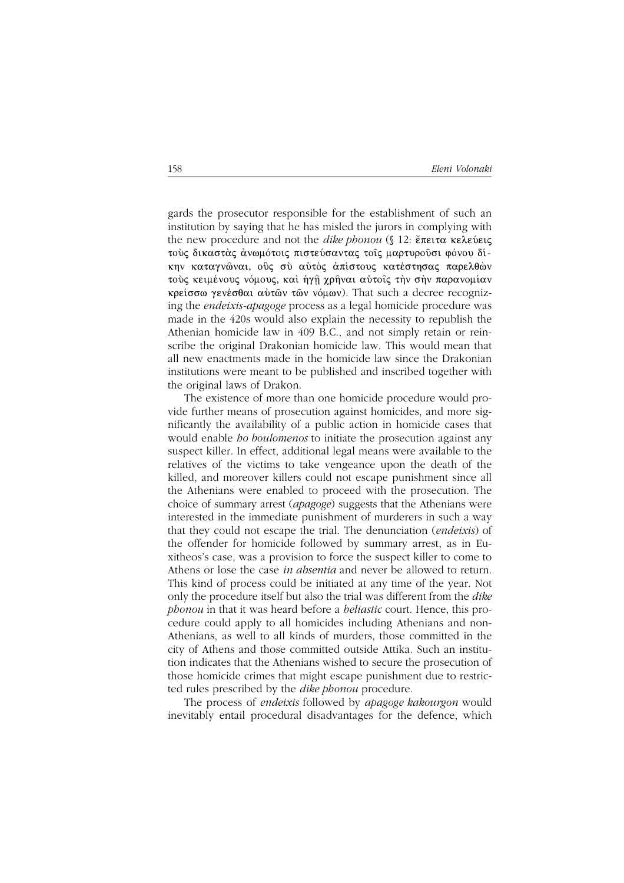gards the prosecutor responsible for the establishment of such an institution by saying that he has misled the jurors in complying with the new procedure and not the *dike phonou*  $($  $12$ :  $\epsilon$ <sup> $\pi$ </sup> $\epsilon$  $\pi$  $\alpha$   $\kappa$  $\epsilon$  $\lambda$  $\epsilon$  $\upsilon$  $\epsilon$  $\varsigma$ τούς δικαστάς άνωμότοις πιστεύσαντας τοίς μαρτυρούσι φόνου δίκην καταγνώναι, ούς σύ αύτος απίστους κατέστησας παρελθών τούς κειμένους νόμους, και ήγη χρήναι αύτοις την σην παρανομίαν κρείσσω γενέσθαι αύτῶν τῶν νόμων). That such a decree recognizing the *endeixis-apagoge* process as a legal homicide procedure was made in the 420s would also explain the necessity to republish the Athenian homicide law in 409 B.C., and not simply retain or reinscribe the original Drakonian homicide law. This would mean that all new enactments made in the homicide law since the Drakonian institutions were meant to be published and inscribed together with the original laws of Drakon.

The existence of more than one homicide procedure would provide further means of prosecution against homicides, and more significantly the availability of a public action in homicide cases that would enable *ho boulomenos* to initiate the prosecution against any suspect killer. In effect, additional legal means were available to the relatives of the victims to take vengeance upon the death of the killed, and moreover killers could not escape punishment since all the Athenians were enabled to proceed with the prosecution. The choice of summary arrest (*apagoge*) suggests that the Athenians were interested in the immediate punishment of murderers in such a way that they could not escape the trial. The denunciation (*endeixis*) of the offender for homicide followed by summary arrest, as in Euxitheos's case, was a provision to force the suspect killer to come to Athens or lose the case *in absentia* and never be allowed to return. This kind of process could be initiated at any time of the year. Not only the procedure itself but also the trial was different from the dike *phonou* in that it was heard before a *heliastic* court. Hence, this procedure could apply to all homicides including Athenians and non-Athenians, as well to all kinds of murders, those committed in the city of Athens and those committed outside Attika. Such an institution indicates that the Athenians wished to secure the prosecution of those homicide crimes that might escape punishment due to restricted rules prescribed by the *dike phonou* procedure.

The process of *endeixis* followed by *apagoge kakourgon* would inevitably entail procedural disadvantages for the defence, which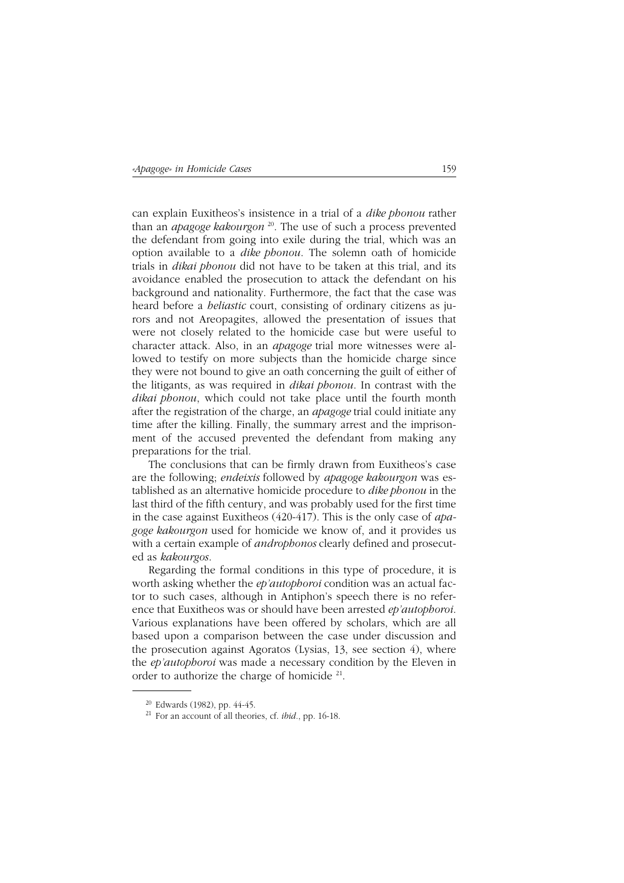can explain Euxitheos's insistence in a trial of a *dike phonou* rather than an *apagoge kakourgon* 20. The use of such a process prevented the defendant from going into exile during the trial, which was an option available to a *dike phonou*. The solemn oath of homicide trials in *dikai phonou* did not have to be taken at this trial, and its avoidance enabled the prosecution to attack the defendant on his background and nationality. Furthermore, the fact that the case was heard before a *heliastic* court, consisting of ordinary citizens as jurors and not Areopagites, allowed the presentation of issues that were not closely related to the homicide case but were useful to character attack. Also, in an *apagoge* trial more witnesses were allowed to testify on more subjects than the homicide charge since they were not bound to give an oath concerning the guilt of either of the litigants, as was required in *dikai phonou*. In contrast with the *dikai phonou*, which could not take place until the fourth month after the registration of the charge, an *apagoge* trial could initiate any time after the killing. Finally, the summary arrest and the imprisonment of the accused prevented the defendant from making any preparations for the trial.

The conclusions that can be firmly drawn from Euxitheos's case are the following; *endeixis* followed by *apagoge kakourgon* was established as an alternative homicide procedure to *dike phonou* in the last third of the fifth century, and was probably used for the first time in the case against Euxitheos (420-417). This is the only case of *apagoge kakourgon* used for homicide we know of, and it provides us with a certain example of *androphonos* clearly defined and prosecuted as *kakourgos*.

Regarding the formal conditions in this type of procedure, it is worth asking whether the *ep'autophoroi* condition was an actual factor to such cases, although in Antiphon's speech there is no reference that Euxitheos was or should have been arrested *ep'autophoroi*. Various explanations have been offered by scholars, which are all based upon a comparison between the case under discussion and the prosecution against Agoratos (Lysias, 13, see section 4), where the *ep'autophoroi* was made a necessary condition by the Eleven in order to authorize the charge of homicide 21.

 $20$  Edwards (1982), pp. 44-45.

<sup>21</sup> For an account of all theories, cf. *ibid.*, pp. 16-18.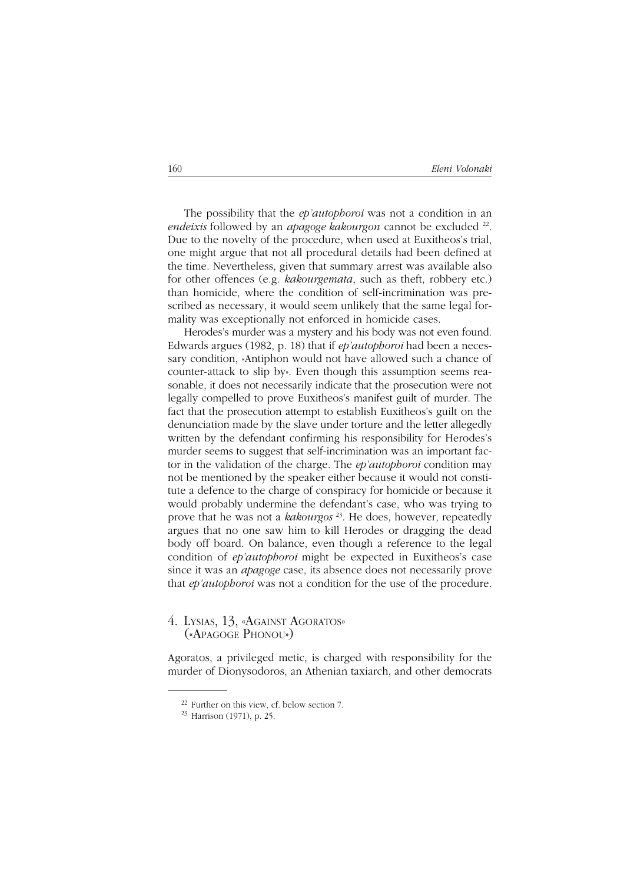The possibility that the *ep'autophoroi* was not a condition in an *endeixis* followed by an *apagoge kakourgon* cannot be excluded <sup>22</sup>. Due to the novelty of the procedure, when used at Euxitheos's trial, one might argue that not all procedural details had been defined at the time. Nevertheless, given that summary arrest was available also for other offences (e.g. *kakourgemata*, such as theft, robbery etc.) than homicide, where the condition of self-incrimination was prescribed as necessary, it would seem unlikely that the same legal formality was exceptionally not enforced in homicide cases.

Herodes's murder was a mystery and his body was not even found. Edwards argues (1982, p. 18) that if *ep'autophoroi* had been a necessary condition, «Antiphon would not have allowed such a chance of counter-attack to slip by». Even though this assumption seems reasonable, it does not necessarily indicate that the prosecution were not legally compelled to prove Euxitheos's manifest guilt of murder. The fact that the prosecution attempt to establish Euxitheos's guilt on the denunciation made by the slave under torture and the letter allegedly written by the defendant confirming his responsibility for Herodes's murder seems to suggest that self-incrimination was an important factor in the validation of the charge. The *ep'autophoroi* condition may not be mentioned by the speaker either because it would not constitute a defence to the charge of conspiracy for homicide or because it would probably undermine the defendant's case, who was trying to prove that he was not a *kakourgos* 23. He does, however, repeatedly argues that no one saw him to kill Herodes or dragging the dead body off board. On balance, even though a reference to the legal condition of *ep'autophoroi* might be expected in Euxitheos's case since it was an *apagoge* case, its absence does not necessarily prove that *ep'autophoroi* was not a condition for the use of the procedure.

## 4. LYSIAS, 13, «AGAINST AGORATOS»<br>(«Apagoge Phonou»)

Agoratos, a privileged metic, is charged with responsibility for the murder of Dionysodoros, an Athenian taxiarch, and other democrats

<sup>22</sup> Further on this view, cf. below section 7.

<sup>23</sup> Harrison (1971), p. 25.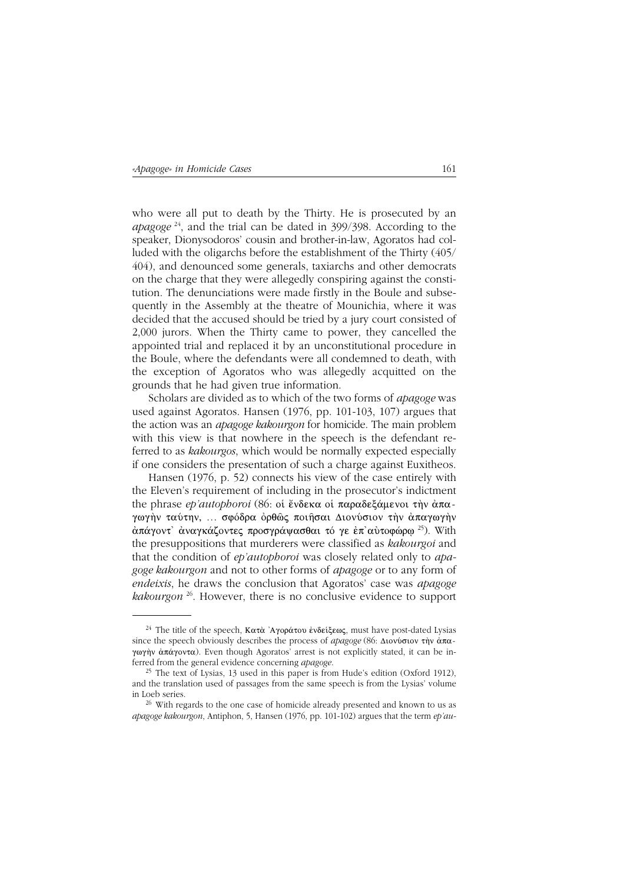who were all put to death by the Thirty. He is prosecuted by an *apagoge*  $24$ , and the trial can be dated in 399/398. According to the speaker, Dionysodoros' cousin and brother-in-law, Agoratos had colluded with the oligarchs before the establishment of the Thirty (405/ 404), and denounced some generals, taxiarchs and other democrats on the charge that they were allegedly conspiring against the constitution. The denunciations were made firstly in the Boule and subsequently in the Assembly at the theatre of Mounichia, where it was decided that the accused should be tried by a jury court consisted of 2,000 jurors. When the Thirty came to power, they cancelled the appointed trial and replaced it by an unconstitutional procedure in the Boule, where the defendants were all condemned to death, with the exception of Agoratos who was allegedly acquitted on the grounds that he had given true information.

Scholars are divided as to which of the two forms of *apagoge* was used against Agoratos. Hansen (1976, pp. 101-103, 107) argues that the action was an *apagoge kakourgon* for homicide. The main problem with this view is that nowhere in the speech is the defendant referred to as kakourgos, which would be normally expected especially if one considers the presentation of such a charge against Euxitheos.

Hansen (1976, p. 52) connects his view of the case entirely with the Eleven's requirement of including in the prosecutor's indictment the phrase *ep'autophoroi* (86: οι ένδεκα οι παραδεξάμενοι την άπαγωγήν ταύτην, ... σφόδρα όρθώς ποιήσαι Διονύσιον την άπαγωγήν άπάγοντ' άναγκάζοντες προσγράψασθαι τό γε έπ' αύτοφώρω<sup>25</sup>). With the presuppositions that murderers were classified as kakourgoi and that the condition of *ep'autophoroi* was closely related only to *apa*goge kakourgon and not to other forms of apagoge or to any form of endeixis, he draws the conclusion that Agoratos' case was apagoge *kakourgon*  $^{26}$ . However, there is no conclusive evidence to support

<sup>&</sup>lt;sup>24</sup> The title of the speech, Κατὰ 'Αγοράτου ἐνδείξεως, must have post-dated Lysias since the speech obviously describes the process of *apagoge* (86:  $\Delta$ tov*b* $\sigma$ tov  $\dot{\tau}$ )  $\dot{\alpha}$  $\pi \alpha$ γωγήν ἀπάγοντα). Even though Agoratos' arrest is not explicitly stated, it can be inferred from the general evidence concerning apagoge.

<sup>&</sup>lt;sup>25</sup> The text of Lysias, 13 used in this paper is from Hude's edition (Oxford 1912), and the translation used of passages from the same speech is from the Lysias' volume in Loeb series.

<sup>&</sup>lt;sup>26</sup> With regards to the one case of homicide already presented and known to us as apagoge kakourgon, Antiphon, 5, Hansen (1976, pp. 101-102) argues that the term  $ep'au$ -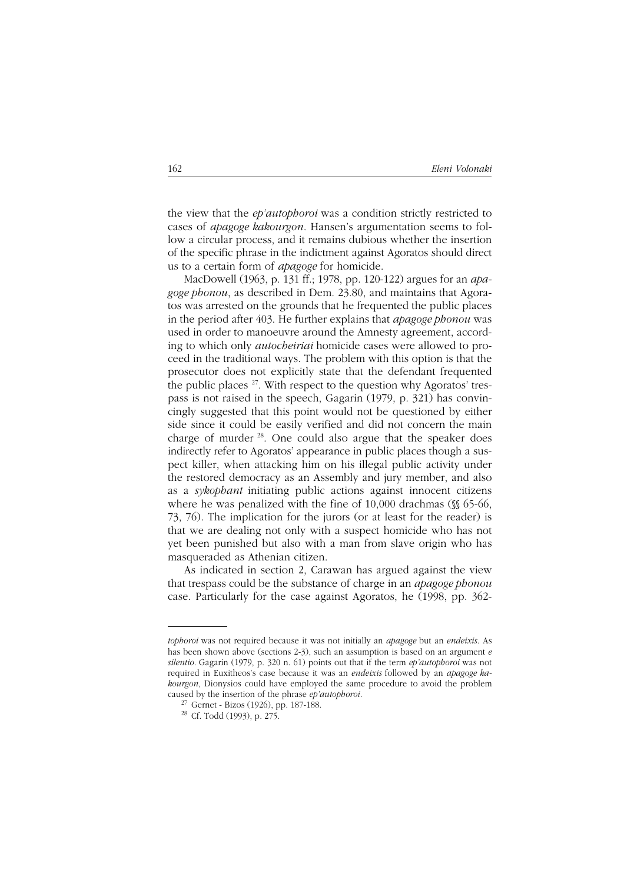the view that the *ep'autophoroi* was a condition strictly restricted to cases of *apagoge kakourgon*. Hansen's argumentation seems to follow a circular process, and it remains dubious whether the insertion of the specific phrase in the indictment against Agoratos should direct us to a certain form of *apagoge* for homicide.

MacDowell (1963, p. 131 ff.; 1978, pp. 120-122) argues for an *apagoge phonou*, as described in Dem. 23.80, and maintains that Agoratos was arrested on the grounds that he frequented the public places in the period after 403. He further explains that *apagoge phonou* was used in order to manoeuvre around the Amnesty agreement, according to which only *autocheiriai* homicide cases were allowed to proceed in the traditional ways. The problem with this option is that the prosecutor does not explicitly state that the defendant frequented the public places  $27$ . With respect to the question why Agoratos' trespass is not raised in the speech, Gagarin (1979, p. 321) has convincingly suggested that this point would not be questioned by either side since it could be easily verified and did not concern the main charge of murder 28. One could also argue that the speaker does indirectly refer to Agoratos' appearance in public places though a suspect killer, when attacking him on his illegal public activity under the restored democracy as an Assembly and jury member, and also as a *sykophant* initiating public actions against innocent citizens where he was penalized with the fine of 10,000 drachmas ( $\frac{15}{6}$  65-66, 73, 76). The implication for the jurors (or at least for the reader) is that we are dealing not only with a suspect homicide who has not yet been punished but also with a man from slave origin who has masqueraded as Athenian citizen.

As indicated in section 2, Carawan has argued against the view that trespass could be the substance of charge in an *apagoge phonou* case. Particularly for the case against Agoratos, he (1998, pp. 362-

*tophoroi* was not required because it was not initially an *apagoge* but an *endeixis*. As has been shown above (sections 2-3), such an assumption is based on an argument *e silentio*. Gagarin (1979, p. 320 n. 61) points out that if the term *ep'autophoroi* was not required in Euxitheos's case because it was an *endeixis* followed by an *apagoge kakourgon*, Dionysios could have employed the same procedure to avoid the problem caused by the insertion of the phrase *ep'autophoroi*.

<sup>27</sup> Gernet - Bizos (1926), pp. 187-188.

<sup>28</sup> Cf. Todd (1993), p. 275.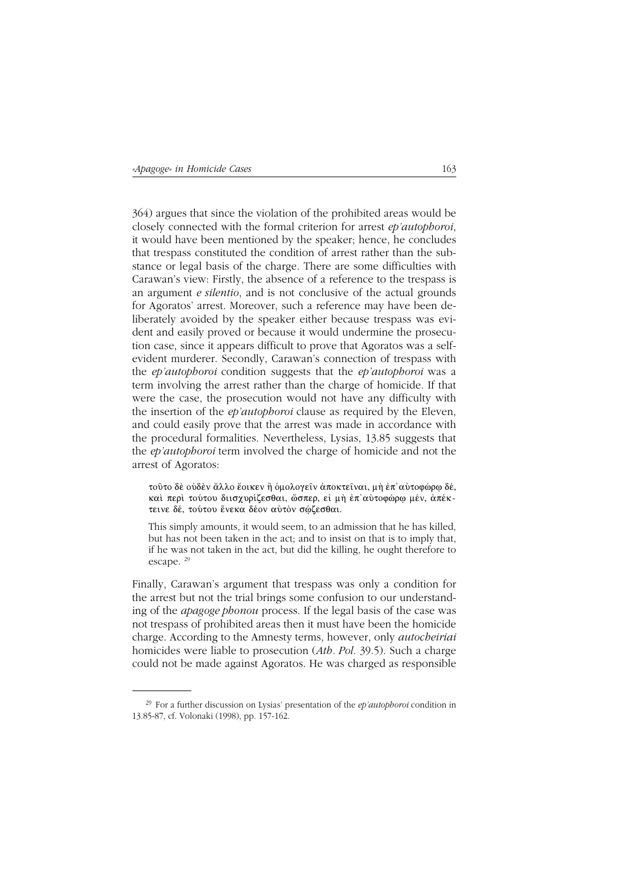364) argues that since the violation of the prohibited areas would be closely connected with the formal criterion for arrest ep'autophoroi, it would have been mentioned by the speaker; hence, he concludes that trespass constituted the condition of arrest rather than the substance or legal basis of the charge. There are some difficulties with Carawan's view: Firstly, the absence of a reference to the trespass is an argument *e silentio*, and is not conclusive of the actual grounds for Agoratos' arrest. Moreover, such a reference may have been deliberately avoided by the speaker either because trespass was evident and easily proved or because it would undermine the prosecution case, since it appears difficult to prove that Agoratos was a selfevident murderer. Secondly, Carawan's connection of trespass with the *ep'autophoroi* condition suggests that the *ep'autophoroi* was a term involving the arrest rather than the charge of homicide. If that were the case, the prosecution would not have any difficulty with the insertion of the *ep'autophoroi* clause as required by the Eleven, and could easily prove that the arrest was made in accordance with the procedural formalities. Nevertheless, Lysias, 13.85 suggests that the *ep'autophoroi* term involved the charge of homicide and not the arrest of Agoratos:

τούτο δε ούδεν άλλο έοικεν ή όμολογείν άποκτείναι, μη έπ' αύτοφώρω δέ, καί περί τούτου διισχυρίζεσθαι, ώσπερ, εί μή έπ' αύτοφώρω μέν, άπέκτεινε δέ, τούτου ένεκα δέον αύτον σώζεσθαι.

This simply amounts, it would seem, to an admission that he has killed. but has not been taken in the act; and to insist on that is to imply that, if he was not taken in the act, but did the killing, he ought therefore to escape.  $29$ 

Finally, Carawan's argument that trespass was only a condition for the arrest but not the trial brings some confusion to our understanding of the *apagoge phonou* process. If the legal basis of the case was not trespass of prohibited areas then it must have been the homicide charge. According to the Amnesty terms, however, only *autocheiriai* homicides were liable to prosecution (Ath. Pol. 39.5). Such a charge could not be made against Agoratos. He was charged as responsible

<sup>&</sup>lt;sup>29</sup> For a further discussion on Lysias' presentation of the *ep'autophoroi* condition in 13.85-87, cf. Volonaki (1998), pp. 157-162.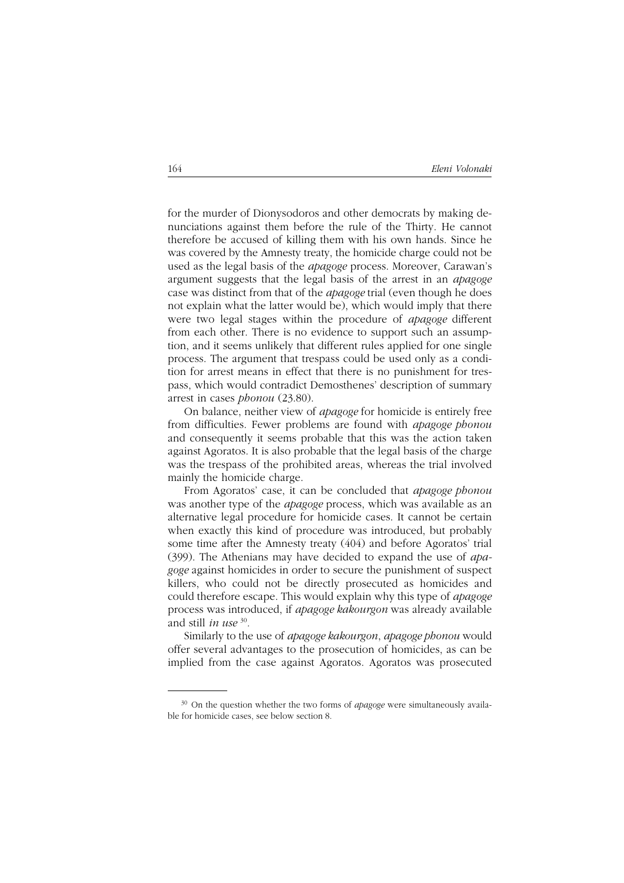for the murder of Dionysodoros and other democrats by making denunciations against them before the rule of the Thirty. He cannot therefore be accused of killing them with his own hands. Since he was covered by the Amnesty treaty, the homicide charge could not be used as the legal basis of the *apagoge* process. Moreover, Carawan's argument suggests that the legal basis of the arrest in an *apagoge* case was distinct from that of the *apagoge* trial (even though he does not explain what the latter would be), which would imply that there were two legal stages within the procedure of *apagoge* different from each other. There is no evidence to support such an assumption, and it seems unlikely that different rules applied for one single process. The argument that trespass could be used only as a condition for arrest means in effect that there is no punishment for trespass, which would contradict Demosthenes' description of summary arrest in cases *phonou* (23.80).

On balance, neither view of *apagoge* for homicide is entirely free from difficulties. Fewer problems are found with *apagoge phonou* and consequently it seems probable that this was the action taken against Agoratos. It is also probable that the legal basis of the charge was the trespass of the prohibited areas, whereas the trial involved mainly the homicide charge.

From Agoratos' case, it can be concluded that *apagoge phonou* was another type of the *apagoge* process, which was available as an alternative legal procedure for homicide cases. It cannot be certain when exactly this kind of procedure was introduced, but probably some time after the Amnesty treaty (404) and before Agoratos' trial (399). The Athenians may have decided to expand the use of *apagoge* against homicides in order to secure the punishment of suspect killers, who could not be directly prosecuted as homicides and could therefore escape. This would explain why this type of *apagoge* process was introduced, if *apagoge kakourgon* was already available and still *in use* <sup>30</sup>*.*

Similarly to the use of *apagoge kakourgon*, *apagoge phonou* would offer several advantages to the prosecution of homicides, as can be implied from the case against Agoratos. Agoratos was prosecuted

<sup>30</sup> On the question whether the two forms of *apagoge* were simultaneously available for homicide cases, see below section 8.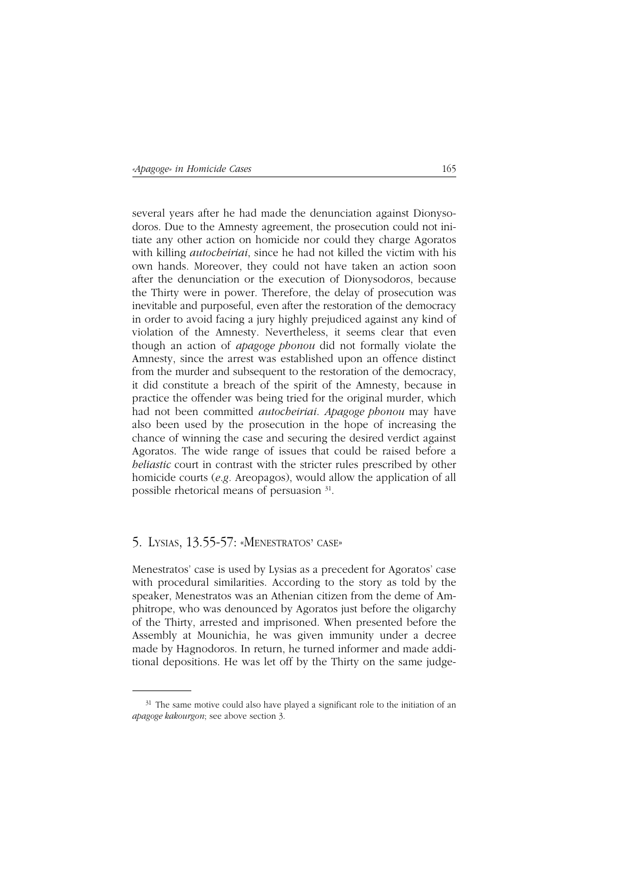several years after he had made the denunciation against Dionysodoros. Due to the Amnesty agreement, the prosecution could not initiate any other action on homicide nor could they charge Agoratos with killing *autocheiriai*, since he had not killed the victim with his own hands. Moreover, they could not have taken an action soon after the denunciation or the execution of Dionysodoros, because the Thirty were in power. Therefore, the delay of prosecution was inevitable and purposeful, even after the restoration of the democracy in order to avoid facing a jury highly prejudiced against any kind of violation of the Amnesty. Nevertheless, it seems clear that even though an action of *apagoge phonou* did not formally violate the Amnesty, since the arrest was established upon an offence distinct from the murder and subsequent to the restoration of the democracy, it did constitute a breach of the spirit of the Amnesty, because in practice the offender was being tried for the original murder, which had not been committed *autocheiriai*. *Apagoge phonou* may have also been used by the prosecution in the hope of increasing the chance of winning the case and securing the desired verdict against Agoratos. The wide range of issues that could be raised before a *heliastic* court in contrast with the stricter rules prescribed by other homicide courts (*e.g.* Areopagos), would allow the application of all possible rhetorical means of persuasion 31.

#### 5. LYSIAS, 13.55-57: «MENESTRATOS' CASE»

Menestratos' case is used by Lysias as a precedent for Agoratos' case with procedural similarities. According to the story as told by the speaker, Menestratos was an Athenian citizen from the deme of Amphitrope, who was denounced by Agoratos just before the oligarchy of the Thirty, arrested and imprisoned. When presented before the Assembly at Mounichia, he was given immunity under a decree made by Hagnodoros. In return, he turned informer and made additional depositions. He was let off by the Thirty on the same judge-

<sup>&</sup>lt;sup>31</sup> The same motive could also have played a significant role to the initiation of an *apagoge kakourgon*; see above section 3.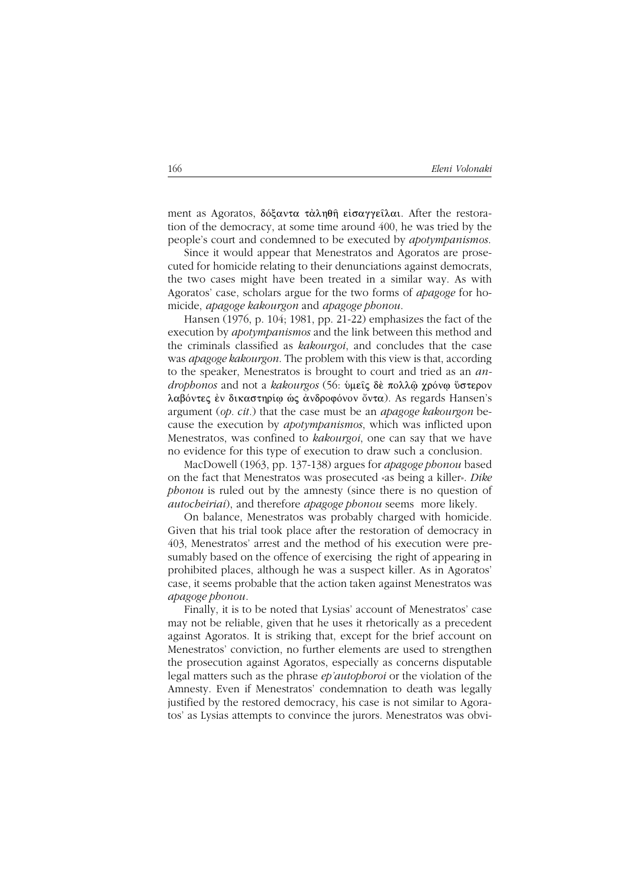ment as Agoratos,  $\delta \acute{\alpha}$   $\alpha \tau \alpha \lambda \eta \theta \hat{\eta}$  είσαγγείλαι. After the restoration of the democracy, at some time around 400, he was tried by the people's court and condemned to be executed by *apotympanismos*.

Since it would appear that Menestratos and Agoratos are prosecuted for homicide relating to their denunciations against democrats, the two cases might have been treated in a similar way. As with Agoratos' case, scholars argue for the two forms of *apagoge* for homicide, *apagoge kakourgon* and *apagoge phonou*.

Hansen (1976, p. 104; 1981, pp. 21-22) emphasizes the fact of the execution by *apotympanismos* and the link between this method and the criminals classified as *kakourgoi*, and concludes that the case was *apagoge kakourgon*. The problem with this view is that, according to the speaker, Menestratos is brought to court and tried as an *androphonos* and not a *kakourgos* (56: ὑμεῖς δὲ πολλῷ χρόνῳ ὕστερον λαβόντες έν δικαστηρίω ώς άνδροφόνον ὄντα). As regards Hansen's argument (*op. cit.*) that the case must be an *apagoge kakourgon* because the execution by *apotympanismos*, which was inflicted upon Menestratos, was confined to *kakourgoi*, one can say that we have no evidence for this type of execution to draw such a conclusion.

MacDowell (1963, pp. 137-138) argues for *apagoge phonou* based on the fact that Menestratos was prosecuted «as being a killer». *Dike phonou* is ruled out by the amnesty (since there is no question of *autocheiriai*), and therefore *apagoge phonou* seems more likely.

On balance, Menestratos was probably charged with homicide. Given that his trial took place after the restoration of democracy in 403, Menestratos' arrest and the method of his execution were presumably based on the offence of exercising the right of appearing in prohibited places, although he was a suspect killer. As in Agoratos' case, it seems probable that the action taken against Menestratos was *apagoge phonou*.

Finally, it is to be noted that Lysias' account of Menestratos' case may not be reliable, given that he uses it rhetorically as a precedent against Agoratos. It is striking that, except for the brief account on Menestratos' conviction, no further elements are used to strengthen the prosecution against Agoratos, especially as concerns disputable legal matters such as the phrase *ep'autophoroi* or the violation of the Amnesty. Even if Menestratos' condemnation to death was legally justified by the restored democracy, his case is not similar to Agoratos' as Lysias attempts to convince the jurors. Menestratos was obvi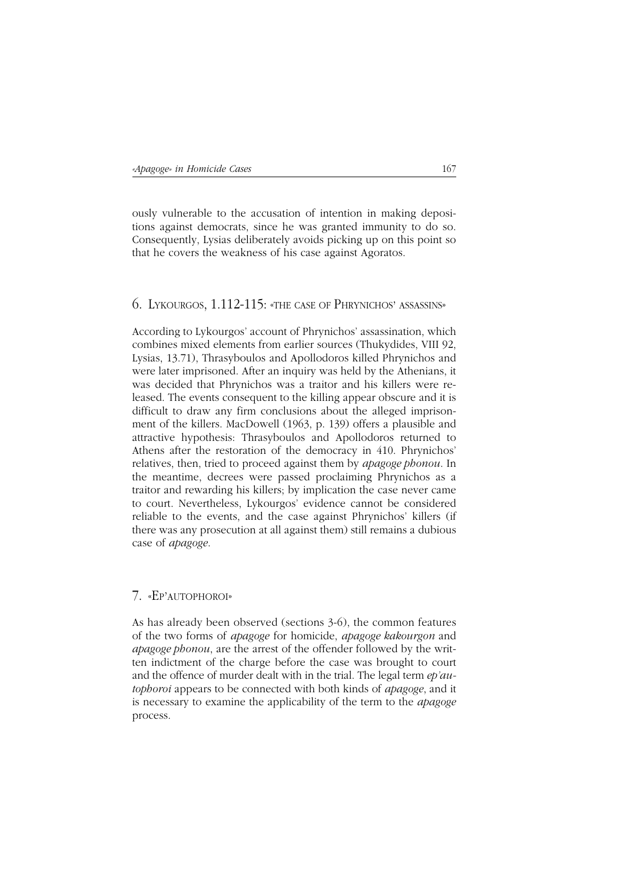ously vulnerable to the accusation of intention in making depositions against democrats, since he was granted immunity to do so. Consequently, Lysias deliberately avoids picking up on this point so that he covers the weakness of his case against Agoratos.

### 6. LYKOURGOS, 1.112-115: «THE CASE OF PHRYNICHOS' ASSASSINS»

According to Lykourgos' account of Phrynichos' assassination, which combines mixed elements from earlier sources (Thukydides, VIII 92, Lysias, 13.71), Thrasyboulos and Apollodoros killed Phrynichos and were later imprisoned. After an inquiry was held by the Athenians, it was decided that Phrynichos was a traitor and his killers were released. The events consequent to the killing appear obscure and it is difficult to draw any firm conclusions about the alleged imprisonment of the killers. MacDowell (1963, p. 139) offers a plausible and attractive hypothesis: Thrasyboulos and Apollodoros returned to Athens after the restoration of the democracy in 410. Phrynichos' relatives, then, tried to proceed against them by *apagoge phonou*. In the meantime, decrees were passed proclaiming Phrynichos as a traitor and rewarding his killers; by implication the case never came to court. Nevertheless, Lykourgos' evidence cannot be considered reliable to the events, and the case against Phrynichos' killers (if there was any prosecution at all against them) still remains a dubious case of *apagoge*.

#### 7. «EP'AUTOPHOROI»

As has already been observed (sections 3-6), the common features of the two forms of *apagoge* for homicide, *apagoge kakourgon* and *apagoge phonou*, are the arrest of the offender followed by the written indictment of the charge before the case was brought to court and the offence of murder dealt with in the trial. The legal term *ep'autophoroi* appears to be connected with both kinds of *apagoge*, and it is necessary to examine the applicability of the term to the *apagoge* process.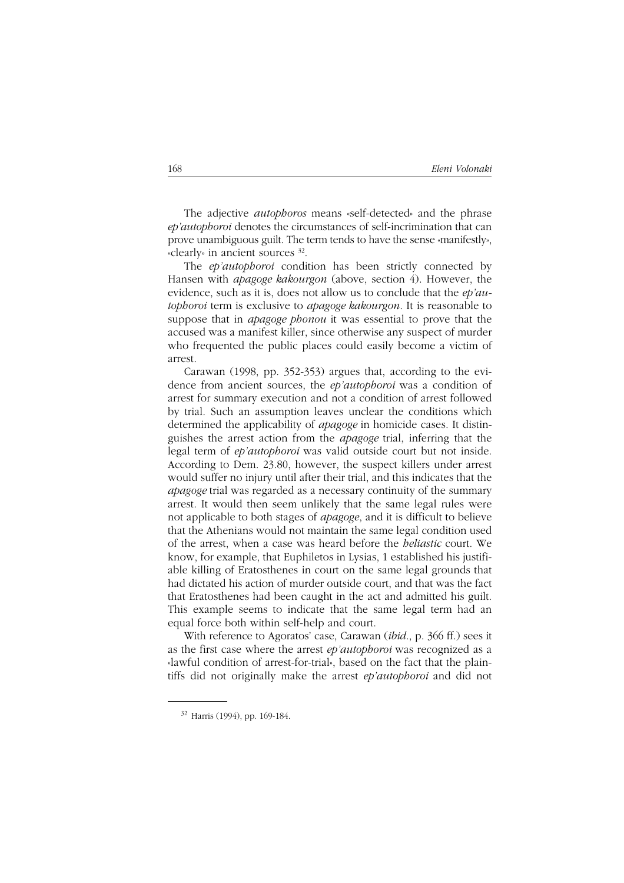The adjective *autophoros* means «self-detected» and the phrase *ep'autophoroi* denotes the circumstances of self-incrimination that can prove unambiguous guilt. The term tends to have the sense «manifestly», «clearly» in ancient sources 32.

The *ep'autophoroi* condition has been strictly connected by Hansen with *apagoge kakourgon* (above, section 4). However, the evidence, such as it is, does not allow us to conclude that the *ep'autophoroi* term is exclusive to *apagoge kakourgon*. It is reasonable to suppose that in *apagoge phonou* it was essential to prove that the accused was a manifest killer, since otherwise any suspect of murder who frequented the public places could easily become a victim of arrest.

Carawan (1998, pp. 352-353) argues that, according to the evidence from ancient sources, the *ep'autophoroi* was a condition of arrest for summary execution and not a condition of arrest followed by trial. Such an assumption leaves unclear the conditions which determined the applicability of *apagoge* in homicide cases. It distinguishes the arrest action from the *apagoge* trial, inferring that the legal term of *ep'autophoroi* was valid outside court but not inside. According to Dem. 23.80, however, the suspect killers under arrest would suffer no injury until after their trial, and this indicates that the *apagoge* trial was regarded as a necessary continuity of the summary arrest. It would then seem unlikely that the same legal rules were not applicable to both stages of *apagoge*, and it is difficult to believe that the Athenians would not maintain the same legal condition used of the arrest, when a case was heard before the *heliastic* court. We know, for example, that Euphiletos in Lysias, 1 established his justifiable killing of Eratosthenes in court on the same legal grounds that had dictated his action of murder outside court, and that was the fact that Eratosthenes had been caught in the act and admitted his guilt. This example seems to indicate that the same legal term had an equal force both within self-help and court.

With reference to Agoratos' case, Carawan (*ibid.*, p. 366 ff.) sees it as the first case where the arrest *ep'autophoroi* was recognized as a «lawful condition of arrest-for-trial», based on the fact that the plaintiffs did not originally make the arrest *ep'autophoroi* and did not

<sup>32</sup> Harris (1994), pp. 169-184.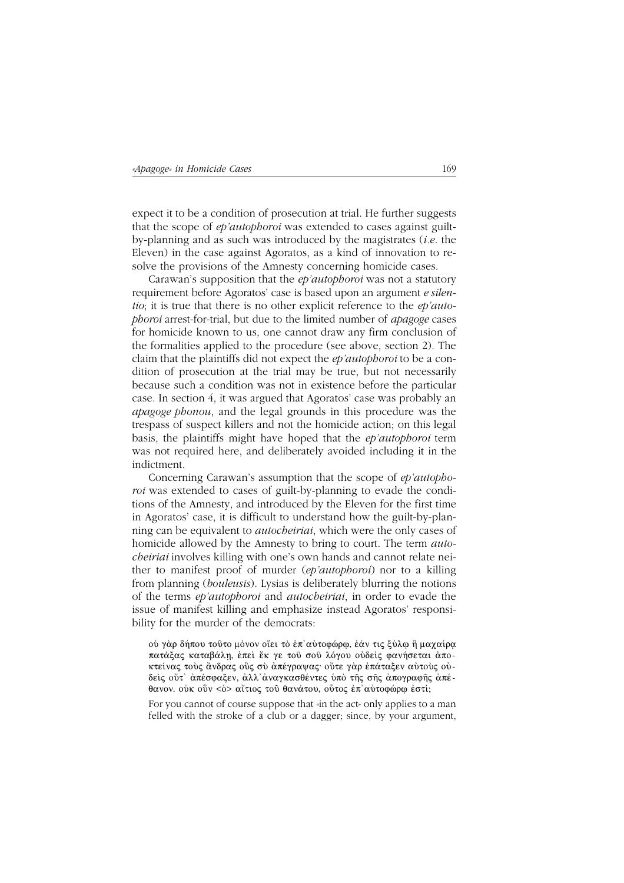expect it to be a condition of prosecution at trial. He further suggests that the scope of *ep'autophoroi* was extended to cases against guiltby-planning and as such was introduced by the magistrates (*i.e.* the Eleven) in the case against Agoratos, as a kind of innovation to resolve the provisions of the Amnesty concerning homicide cases.

Carawan's supposition that the *ep'autophoroi* was not a statutory requirement before Agoratos' case is based upon an argument *e silentio*; it is true that there is no other explicit reference to the *ep'autophoroi* arrest-for-trial, but due to the limited number of *apagoge* cases for homicide known to us, one cannot draw any firm conclusion of the formalities applied to the procedure (see above, section 2). The claim that the plaintiffs did not expect the *ep'autophoroi* to be a condition of prosecution at the trial may be true, but not necessarily because such a condition was not in existence before the particular case. In section 4, it was argued that Agoratos' case was probably an *apagoge phonou*, and the legal grounds in this procedure was the trespass of suspect killers and not the homicide action; on this legal basis, the plaintiffs might have hoped that the *ep'autophoroi* term was not required here, and deliberately avoided including it in the indictment.

Concerning Carawan's assumption that the scope of *ep'autophoroi* was extended to cases of guilt-by-planning to evade the conditions of the Amnesty, and introduced by the Eleven for the first time in Agoratos' case, it is difficult to understand how the guilt-by-planning can be equivalent to *autocheiriai*, which were the only cases of homicide allowed by the Amnesty to bring to court. The term *autocheiriai* involves killing with one's own hands and cannot relate neither to manifest proof of murder (*ep'autophoroi*) nor to a killing from planning (*bouleusis*). Lysias is deliberately blurring the notions of the terms *ep'autophoroi* and *autocheiriai*, in order to evade the issue of manifest killing and emphasize instead Agoratos' responsibility for the murder of the democrats:

oύ γάρ δήπου τοῦτο μόνον οἴει τὸ ἐπ'αὐτοφώρω, ἐάν τις ξύλω ἢ μαγαίρα πατάξας καταβάλη, έπεὶ ἔκ γε τοῦ σοῦ λόγου οὐδεὶς φανήσεται ἀποκτείνας τούς ἄνδρας οΰς σύ ἀπέγραψας· οὔτε γάρ έπάταξεν αὐτούς οὐδείς ούτ' άπέσφαξεν, άλλ' άναγκασθέντες ύπό της σης άπογραφης άπέθανον. οὐκ οὖν <δ> αἴτιος τοῦ θανάτου, οΰτος ἐπ'αὐτοφώρφ ἐστί;

For you cannot of course suppose that «in the act» only applies to a man felled with the stroke of a club or a dagger; since, by your argument,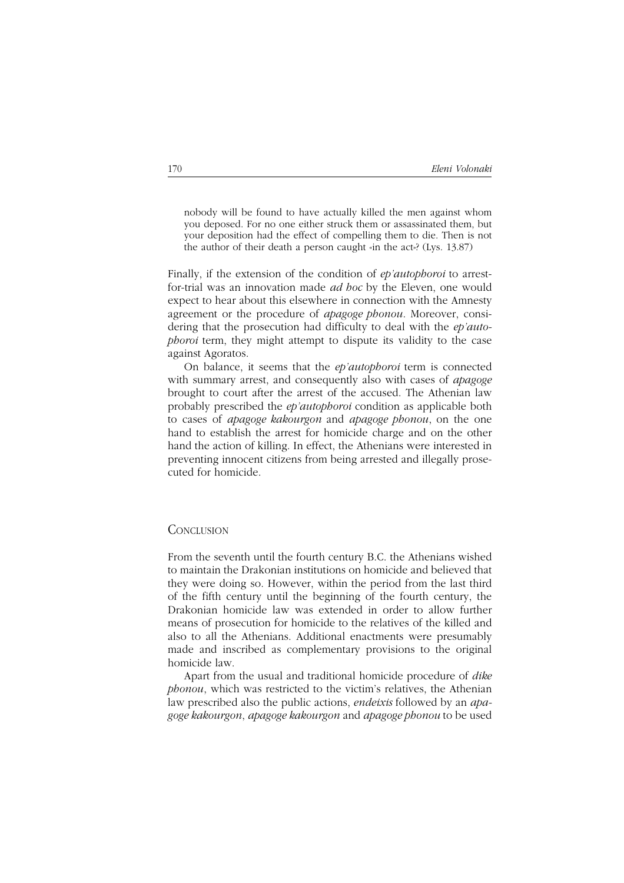nobody will be found to have actually killed the men against whom you deposed. For no one either struck them or assassinated them, but your deposition had the effect of compelling them to die. Then is not the author of their death a person caught «in the act»? (Lys. 13.87)

Finally, if the extension of the condition of *ep'autophoroi* to arrestfor-trial was an innovation made *ad hoc* by the Eleven, one would expect to hear about this elsewhere in connection with the Amnesty agreement or the procedure of *apagoge phonou*. Moreover, considering that the prosecution had difficulty to deal with the *ep'autophoroi* term, they might attempt to dispute its validity to the case against Agoratos.

On balance, it seems that the *ep'autophoroi* term is connected with summary arrest, and consequently also with cases of *apagoge* brought to court after the arrest of the accused. The Athenian law probably prescribed the *ep'autophoroi* condition as applicable both to cases of *apagoge kakourgon* and *apagoge phonou*, on the one hand to establish the arrest for homicide charge and on the other hand the action of killing. In effect, the Athenians were interested in preventing innocent citizens from being arrested and illegally prosecuted for homicide.

#### **CONCLUSION**

From the seventh until the fourth century B.C. the Athenians wished to maintain the Drakonian institutions on homicide and believed that they were doing so. However, within the period from the last third of the fifth century until the beginning of the fourth century, the Drakonian homicide law was extended in order to allow further means of prosecution for homicide to the relatives of the killed and also to all the Athenians. Additional enactments were presumably made and inscribed as complementary provisions to the original homicide law.

Apart from the usual and traditional homicide procedure of *dike phonou*, which was restricted to the victim's relatives, the Athenian law prescribed also the public actions, *endeixis* followed by an *apagoge kakourgon*, *apagoge kakourgon* and *apagoge phonou* to be used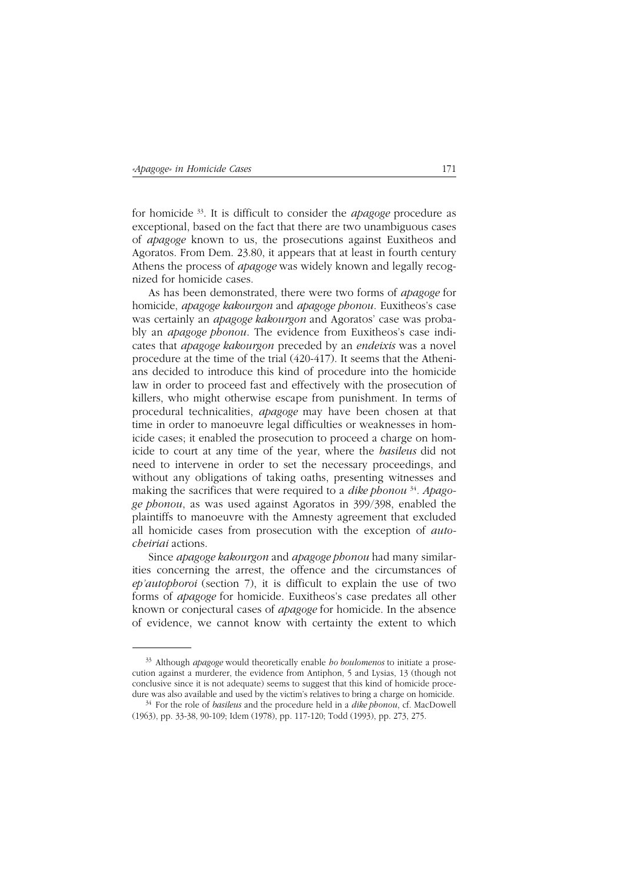for homicide 33. It is difficult to consider the *apagoge* procedure as exceptional, based on the fact that there are two unambiguous cases of *apagoge* known to us, the prosecutions against Euxitheos and Agoratos. From Dem. 23.80, it appears that at least in fourth century Athens the process of *apagoge* was widely known and legally recognized for homicide cases.

As has been demonstrated, there were two forms of *apagoge* for homicide, *apagoge kakourgon* and *apagoge phonou*. Euxitheos's case was certainly an *apagoge kakourgon* and Agoratos' case was probably an *apagoge phonou*. The evidence from Euxitheos's case indicates that *apagoge kakourgon* preceded by an *endeixis* was a novel procedure at the time of the trial (420-417). It seems that the Athenians decided to introduce this kind of procedure into the homicide law in order to proceed fast and effectively with the prosecution of killers, who might otherwise escape from punishment. In terms of procedural technicalities, *apagoge* may have been chosen at that time in order to manoeuvre legal difficulties or weaknesses in homicide cases; it enabled the prosecution to proceed a charge on homicide to court at any time of the year, where the *basileus* did not need to intervene in order to set the necessary proceedings, and without any obligations of taking oaths, presenting witnesses and making the sacrifices that were required to a *dike phonou* <sup>34</sup>*. Apagoge phonou*, as was used against Agoratos in 399/398, enabled the plaintiffs to manoeuvre with the Amnesty agreement that excluded all homicide cases from prosecution with the exception of *autocheiriai* actions.

Since *apagoge kakourgon* and *apagoge phonou* had many similarities concerning the arrest, the offence and the circumstances of *ep'autophoroi* (section 7), it is difficult to explain the use of two forms of *apagoge* for homicide. Euxitheos's case predates all other known or conjectural cases of *apagoge* for homicide. In the absence of evidence, we cannot know with certainty the extent to which

<sup>33</sup> Although *apagoge* would theoretically enable *ho boulomenos* to initiate a prosecution against a murderer, the evidence from Antiphon, 5 and Lysias, 13 (though not conclusive since it is not adequate) seems to suggest that this kind of homicide procedure was also available and used by the victim's relatives to bring a charge on homicide.

<sup>34</sup> For the role of *basileus* and the procedure held in a *dike phonou*, cf. MacDowell (1963), pp. 33-38, 90-109; Idem (1978), pp. 117-120; Todd (1993), pp. 273, 275.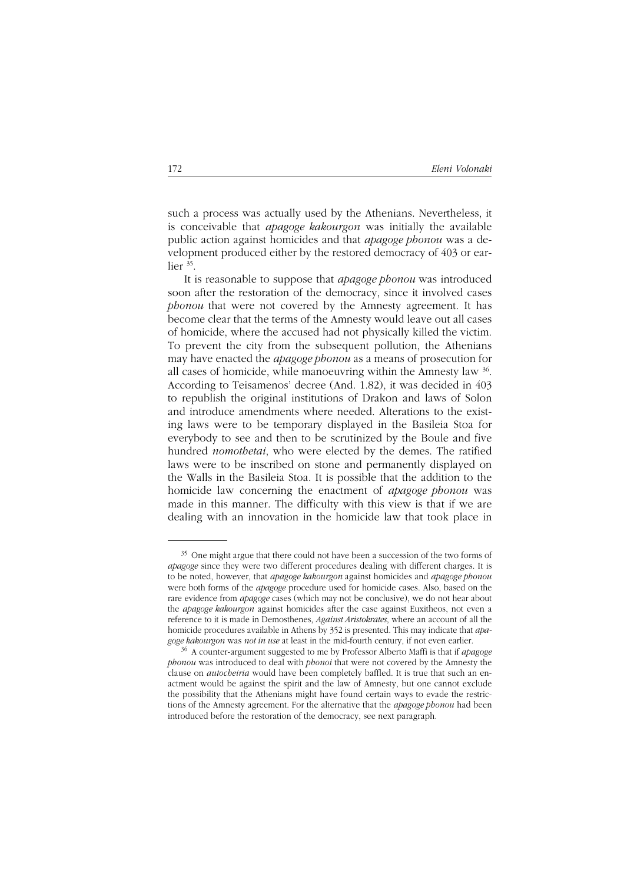such a process was actually used by the Athenians. Nevertheless, it is conceivable that *apagoge kakourgon* was initially the available public action against homicides and that *apagoge phonou* was a development produced either by the restored democracy of 403 or earlier 35.

It is reasonable to suppose that *apagoge phonou* was introduced soon after the restoration of the democracy, since it involved cases *phonou* that were not covered by the Amnesty agreement. It has become clear that the terms of the Amnesty would leave out all cases of homicide, where the accused had not physically killed the victim. To prevent the city from the subsequent pollution, the Athenians may have enacted the *apagoge phonou* as a means of prosecution for all cases of homicide, while manoeuvring within the Amnesty law 36. According to Teisamenos' decree (And. 1.82), it was decided in 403 to republish the original institutions of Drakon and laws of Solon and introduce amendments where needed. Alterations to the existing laws were to be temporary displayed in the Basileia Stoa for everybody to see and then to be scrutinized by the Boule and five hundred *nomothetai*, who were elected by the demes. The ratified laws were to be inscribed on stone and permanently displayed on the Walls in the Basileia Stoa. It is possible that the addition to the homicide law concerning the enactment of *apagoge phonou* was made in this manner. The difficulty with this view is that if we are dealing with an innovation in the homicide law that took place in

<sup>&</sup>lt;sup>35</sup> One might argue that there could not have been a succession of the two forms of *apagoge* since they were two different procedures dealing with different charges. It is to be noted, however, that *apagoge kakourgon* against homicides and *apagoge phonou* were both forms of the *apagoge* procedure used for homicide cases. Also, based on the rare evidence from *apagoge* cases (which may not be conclusive), we do not hear about the *apagoge kakourgon* against homicides after the case against Euxitheos, not even a reference to it is made in Demosthenes, *Against Aristokrates*, where an account of all the homicide procedures available in Athens by 352 is presented. This may indicate that *apagoge kakourgon* was *not in use* at least in the mid-fourth century, if not even earlier.

<sup>36</sup> A counter-argument suggested to me by Professor Alberto Maffi is that if *apagoge phonou* was introduced to deal with *phonoi* that were not covered by the Amnesty the clause on *autocheiria* would have been completely baffled. It is true that such an enactment would be against the spirit and the law of Amnesty, but one cannot exclude the possibility that the Athenians might have found certain ways to evade the restrictions of the Amnesty agreement. For the alternative that the *apagoge phonou* had been introduced before the restoration of the democracy, see next paragraph.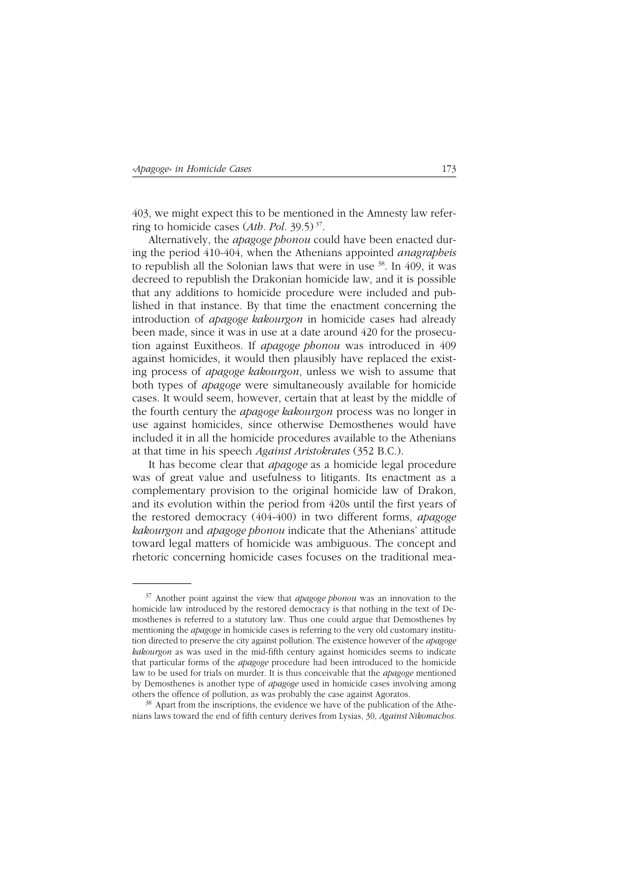403, we might expect this to be mentioned in the Amnesty law referring to homicide cases (*Ath. Pol.* 39.5) 37.

Alternatively, the *apagoge phonou* could have been enacted during the period 410-404, when the Athenians appointed *anagrapheis* to republish all the Solonian laws that were in use  $38$ . In 409, it was decreed to republish the Drakonian homicide law, and it is possible that any additions to homicide procedure were included and published in that instance. By that time the enactment concerning the introduction of *apagoge kakourgon* in homicide cases had already been made, since it was in use at a date around 420 for the prosecution against Euxitheos. If *apagoge phonou* was introduced in 409 against homicides, it would then plausibly have replaced the existing process of *apagoge kakourgon*, unless we wish to assume that both types of *apagoge* were simultaneously available for homicide cases. It would seem, however, certain that at least by the middle of the fourth century the *apagoge kakourgon* process was no longer in use against homicides, since otherwise Demosthenes would have included it in all the homicide procedures available to the Athenians at that time in his speech *Against Aristokrates* (352 B.C.).

It has become clear that *apagoge* as a homicide legal procedure was of great value and usefulness to litigants. Its enactment as a complementary provision to the original homicide law of Drakon, and its evolution within the period from 420s until the first years of the restored democracy (404-400) in two different forms, *apagoge kakourgon* and *apagoge phonou* indicate that the Athenians' attitude toward legal matters of homicide was ambiguous. The concept and rhetoric concerning homicide cases focuses on the traditional mea-

<sup>37</sup> Another point against the view that *apagoge phonou* was an innovation to the homicide law introduced by the restored democracy is that nothing in the text of Demosthenes is referred to a statutory law. Thus one could argue that Demosthenes by mentioning the *apagoge* in homicide cases is referring to the very old customary institution directed to preserve the city against pollution. The existence however of the *apagoge kakourgon* as was used in the mid-fifth century against homicides seems to indicate that particular forms of the *apagoge* procedure had been introduced to the homicide law to be used for trials on murder. It is thus conceivable that the *apagoge* mentioned by Demosthenes is another type of *apagoge* used in homicide cases involving among others the offence of pollution, as was probably the case against Agoratos.

<sup>38</sup> Apart from the inscriptions, the evidence we have of the publication of the Athenians laws toward the end of fifth century derives from Lysias, 30, *Against Nikomachos*.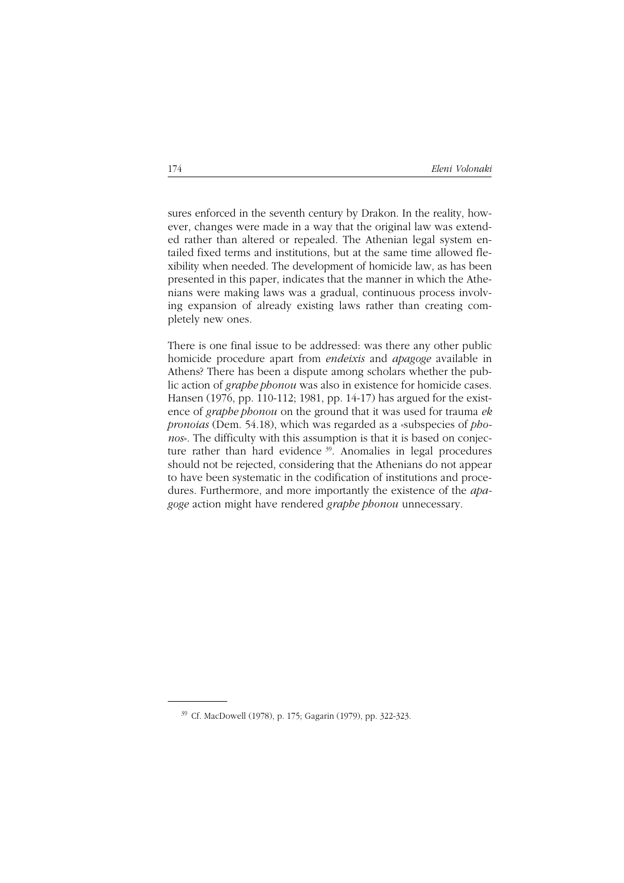sures enforced in the seventh century by Drakon. In the reality, however, changes were made in a way that the original law was extended rather than altered or repealed. The Athenian legal system entailed fixed terms and institutions, but at the same time allowed flexibility when needed. The development of homicide law, as has been presented in this paper, indicates that the manner in which the Athenians were making laws was a gradual, continuous process involving expansion of already existing laws rather than creating completely new ones.

There is one final issue to be addressed: was there any other public homicide procedure apart from *endeixis* and *apagoge* available in Athens? There has been a dispute among scholars whether the public action of *graphe phonou* was also in existence for homicide cases. Hansen (1976, pp. 110-112; 1981, pp. 14-17) has argued for the existence of *graphe phonou* on the ground that it was used for trauma *ek pronoias* (Dem. 54.18), which was regarded as a «subspecies of *phonos*». The difficulty with this assumption is that it is based on conjecture rather than hard evidence 39. Anomalies in legal procedures should not be rejected, considering that the Athenians do not appear to have been systematic in the codification of institutions and procedures. Furthermore, and more importantly the existence of the *apagoge* action might have rendered *graphe phonou* unnecessary.

<sup>39</sup> Cf. MacDowell (1978), p. 175; Gagarin (1979), pp. 322-323.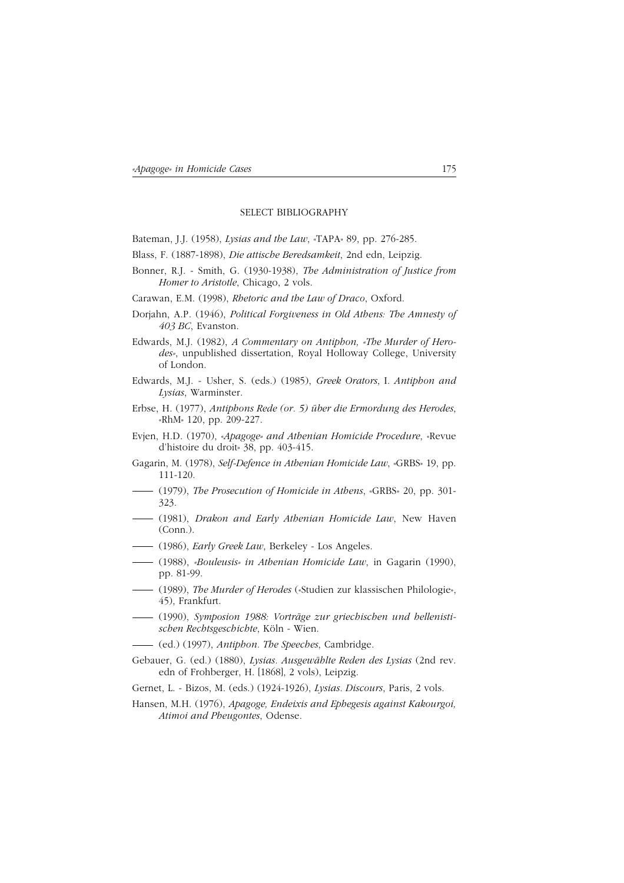#### SELECT BIBLIOGRAPHY

Bateman, J.J. (1958), *Lysias and the Law*, «TAPA» 89, pp. 276-285.

- Blass, F. (1887-1898), *Die attische Beredsamkeit*, 2nd edn, Leipzig.
- Bonner, R.J. Smith, G. (1930-1938), *The Administration of Justice from Homer to Aristotle*, Chicago, 2 vols.
- Carawan, E.M. (1998), *Rhetoric and the Law of Draco*, Oxford.
- Dorjahn, A.P. (1946), *Political Forgiveness in Old Athens: The Amnesty of 403 BC*, Evanston.
- Edwards, M.J. (1982), *A Commentary on Antiphon, «The Murder of Herodes»*, unpublished dissertation, Royal Holloway College, University of London.
- Edwards, M.J. Usher, S. (eds.) (1985), *Greek Orators*, I. *Antiphon and Lysias*, Warminster.
- Erbse, H. (1977), *Antiphons Rede (or. 5) über die Ermordung des Herodes*, «RhM» 120, pp. 209-227.
- Evjen, H.D. (1970), «*Apagoge» and Athenian Homicide Procedure*, «Revue d'histoire du droit» 38, pp. 403-415.
- Gagarin, M. (1978), *Self-Defence in Athenian Homicide Law*, «GRBS» 19, pp. 111-120.
- (1979), *The Prosecution of Homicide in Athens*, «GRBS» 20, pp. 301- 323.
- (1981), *Drakon and Early Athenian Homicide Law*, New Haven (Conn.).
- (1986), *Early Greek Law*, Berkeley Los Angeles.
- (1988), *«Bouleusis» in Athenian Homicide Law*, in Gagarin (1990), pp. 81-99.
- (1989), *The Murder of Herodes* («Studien zur klassischen Philologie», 45), Frankfurt.
- (1990), *Symposion 1988: Vorträge zur griechischen und hellenistischen Rechtsgeschichte*, Köln - Wien.
- (ed.) (1997), *Antiphon. The Speeches*, Cambridge.
- Gebauer, G. (ed.) (1880), *Lysias. Ausgewählte Reden des Lysias* (2nd rev. edn of Frohberger, H. [1868], 2 vols), Leipzig.
- Gernet, L. Bizos, M. (eds.) (1924-1926), *Lysias. Discours*, Paris, 2 vols.
- Hansen, M.H. (1976), *Apagoge, Endeixis and Ephegesis against Kakourgoi, Atimoi and Pheugontes*, Odense.